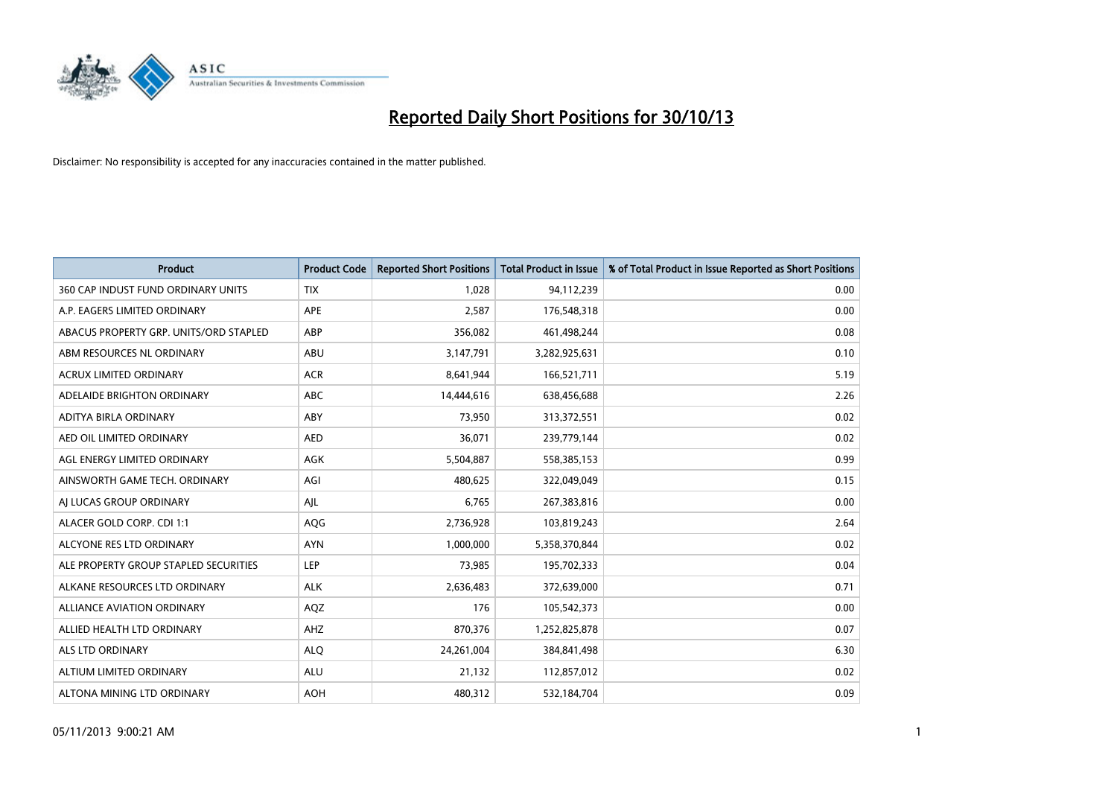

| <b>Product</b>                         | <b>Product Code</b> | <b>Reported Short Positions</b> | <b>Total Product in Issue</b> | % of Total Product in Issue Reported as Short Positions |
|----------------------------------------|---------------------|---------------------------------|-------------------------------|---------------------------------------------------------|
| 360 CAP INDUST FUND ORDINARY UNITS     | <b>TIX</b>          | 1,028                           | 94,112,239                    | 0.00                                                    |
| A.P. EAGERS LIMITED ORDINARY           | APE                 | 2,587                           | 176,548,318                   | 0.00                                                    |
| ABACUS PROPERTY GRP. UNITS/ORD STAPLED | ABP                 | 356,082                         | 461,498,244                   | 0.08                                                    |
| ABM RESOURCES NL ORDINARY              | ABU                 | 3,147,791                       | 3,282,925,631                 | 0.10                                                    |
| <b>ACRUX LIMITED ORDINARY</b>          | <b>ACR</b>          | 8,641,944                       | 166,521,711                   | 5.19                                                    |
| ADELAIDE BRIGHTON ORDINARY             | <b>ABC</b>          | 14,444,616                      | 638,456,688                   | 2.26                                                    |
| ADITYA BIRLA ORDINARY                  | ABY                 | 73,950                          | 313,372,551                   | 0.02                                                    |
| AED OIL LIMITED ORDINARY               | <b>AED</b>          | 36,071                          | 239,779,144                   | 0.02                                                    |
| AGL ENERGY LIMITED ORDINARY            | <b>AGK</b>          | 5,504,887                       | 558,385,153                   | 0.99                                                    |
| AINSWORTH GAME TECH. ORDINARY          | AGI                 | 480,625                         | 322,049,049                   | 0.15                                                    |
| AI LUCAS GROUP ORDINARY                | AJL                 | 6,765                           | 267,383,816                   | 0.00                                                    |
| ALACER GOLD CORP. CDI 1:1              | AQG                 | 2,736,928                       | 103,819,243                   | 2.64                                                    |
| ALCYONE RES LTD ORDINARY               | <b>AYN</b>          | 1,000,000                       | 5,358,370,844                 | 0.02                                                    |
| ALE PROPERTY GROUP STAPLED SECURITIES  | LEP                 | 73,985                          | 195,702,333                   | 0.04                                                    |
| ALKANE RESOURCES LTD ORDINARY          | <b>ALK</b>          | 2,636,483                       | 372,639,000                   | 0.71                                                    |
| ALLIANCE AVIATION ORDINARY             | AQZ                 | 176                             | 105,542,373                   | 0.00                                                    |
| ALLIED HEALTH LTD ORDINARY             | AHZ                 | 870,376                         | 1,252,825,878                 | 0.07                                                    |
| <b>ALS LTD ORDINARY</b>                | <b>ALQ</b>          | 24,261,004                      | 384, 841, 498                 | 6.30                                                    |
| ALTIUM LIMITED ORDINARY                | <b>ALU</b>          | 21,132                          | 112,857,012                   | 0.02                                                    |
| ALTONA MINING LTD ORDINARY             | <b>AOH</b>          | 480,312                         | 532,184,704                   | 0.09                                                    |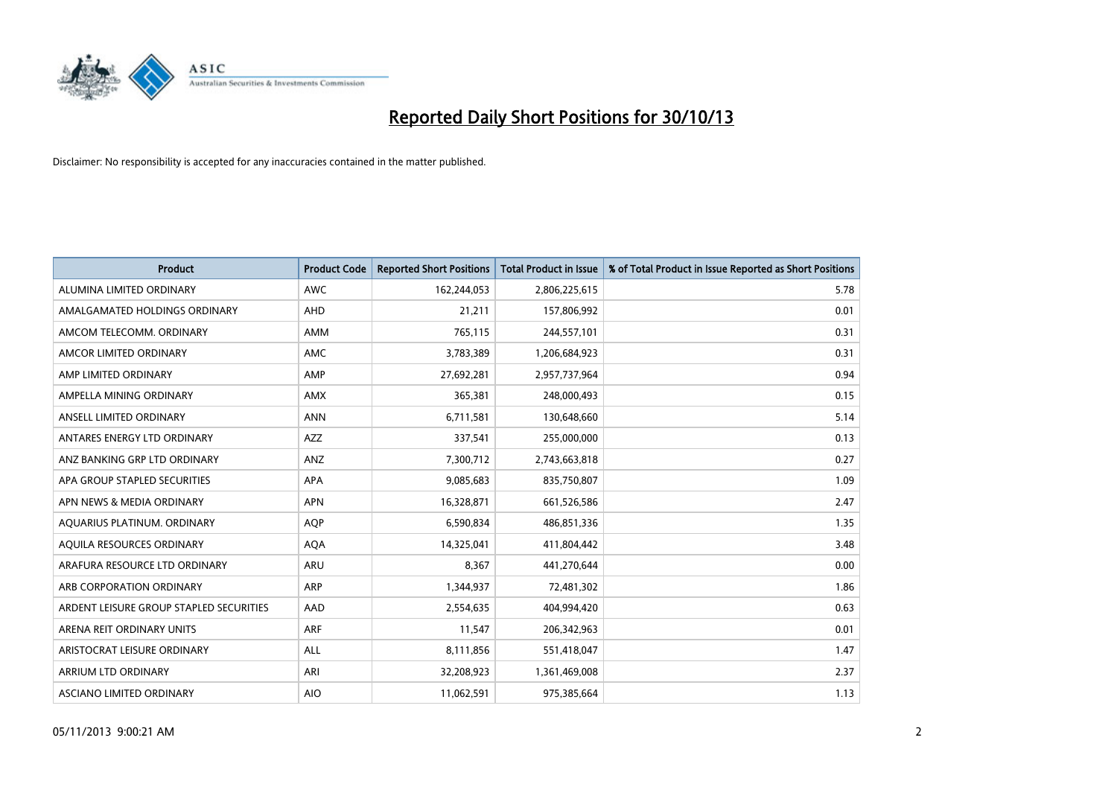

| <b>Product</b>                          | <b>Product Code</b> | <b>Reported Short Positions</b> | Total Product in Issue | % of Total Product in Issue Reported as Short Positions |
|-----------------------------------------|---------------------|---------------------------------|------------------------|---------------------------------------------------------|
| ALUMINA LIMITED ORDINARY                | <b>AWC</b>          | 162,244,053                     | 2,806,225,615          | 5.78                                                    |
| AMALGAMATED HOLDINGS ORDINARY           | <b>AHD</b>          | 21,211                          | 157,806,992            | 0.01                                                    |
| AMCOM TELECOMM. ORDINARY                | <b>AMM</b>          | 765,115                         | 244,557,101            | 0.31                                                    |
| AMCOR LIMITED ORDINARY                  | AMC                 | 3,783,389                       | 1,206,684,923          | 0.31                                                    |
| AMP LIMITED ORDINARY                    | AMP                 | 27,692,281                      | 2,957,737,964          | 0.94                                                    |
| AMPELLA MINING ORDINARY                 | AMX                 | 365,381                         | 248,000,493            | 0.15                                                    |
| ANSELL LIMITED ORDINARY                 | <b>ANN</b>          | 6,711,581                       | 130,648,660            | 5.14                                                    |
| ANTARES ENERGY LTD ORDINARY             | <b>AZZ</b>          | 337,541                         | 255,000,000            | 0.13                                                    |
| ANZ BANKING GRP LTD ORDINARY            | ANZ                 | 7,300,712                       | 2,743,663,818          | 0.27                                                    |
| APA GROUP STAPLED SECURITIES            | <b>APA</b>          | 9,085,683                       | 835,750,807            | 1.09                                                    |
| APN NEWS & MEDIA ORDINARY               | <b>APN</b>          | 16,328,871                      | 661,526,586            | 2.47                                                    |
| AQUARIUS PLATINUM. ORDINARY             | <b>AQP</b>          | 6,590,834                       | 486,851,336            | 1.35                                                    |
| AQUILA RESOURCES ORDINARY               | <b>AQA</b>          | 14,325,041                      | 411,804,442            | 3.48                                                    |
| ARAFURA RESOURCE LTD ORDINARY           | <b>ARU</b>          | 8,367                           | 441,270,644            | 0.00                                                    |
| ARB CORPORATION ORDINARY                | <b>ARP</b>          | 1,344,937                       | 72,481,302             | 1.86                                                    |
| ARDENT LEISURE GROUP STAPLED SECURITIES | <b>AAD</b>          | 2,554,635                       | 404,994,420            | 0.63                                                    |
| ARENA REIT ORDINARY UNITS               | <b>ARF</b>          | 11,547                          | 206,342,963            | 0.01                                                    |
| ARISTOCRAT LEISURE ORDINARY             | ALL                 | 8,111,856                       | 551,418,047            | 1.47                                                    |
| ARRIUM LTD ORDINARY                     | ARI                 | 32,208,923                      | 1,361,469,008          | 2.37                                                    |
| ASCIANO LIMITED ORDINARY                | <b>AIO</b>          | 11,062,591                      | 975,385,664            | 1.13                                                    |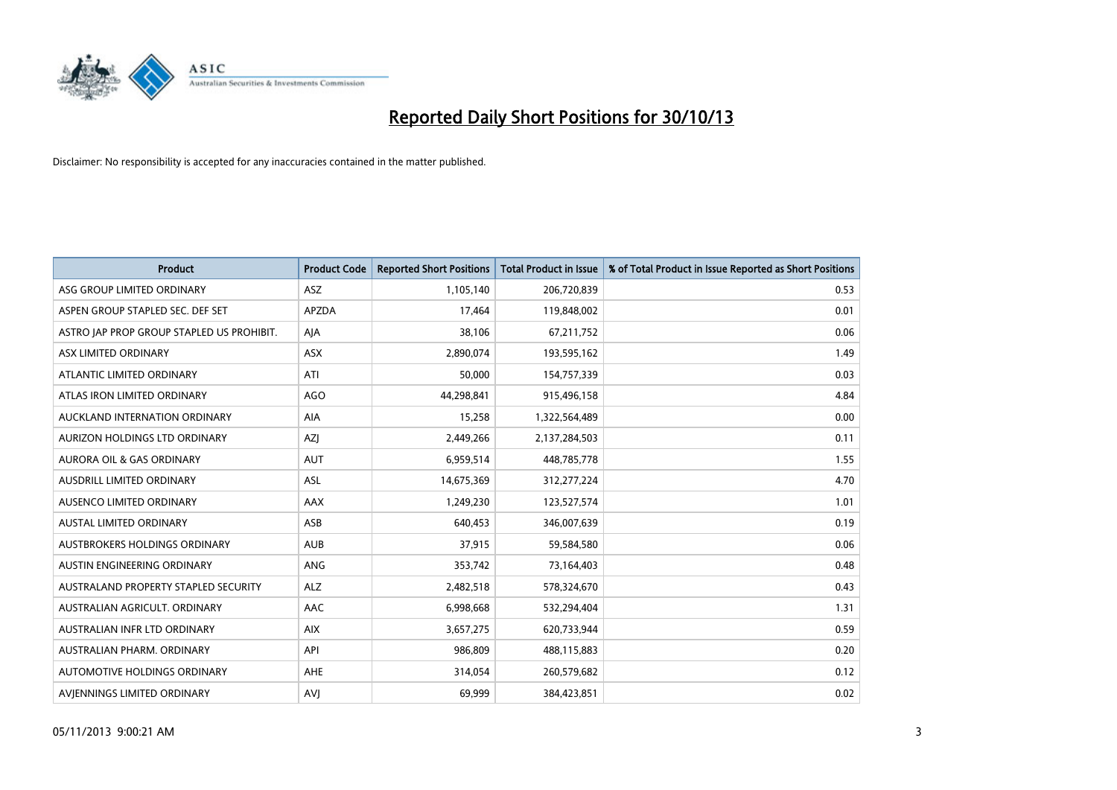

| <b>Product</b>                            | <b>Product Code</b> | <b>Reported Short Positions</b> | <b>Total Product in Issue</b> | % of Total Product in Issue Reported as Short Positions |
|-------------------------------------------|---------------------|---------------------------------|-------------------------------|---------------------------------------------------------|
| ASG GROUP LIMITED ORDINARY                | <b>ASZ</b>          | 1,105,140                       | 206,720,839                   | 0.53                                                    |
| ASPEN GROUP STAPLED SEC. DEF SET          | <b>APZDA</b>        | 17,464                          | 119,848,002                   | 0.01                                                    |
| ASTRO JAP PROP GROUP STAPLED US PROHIBIT. | AJA                 | 38,106                          | 67,211,752                    | 0.06                                                    |
| ASX LIMITED ORDINARY                      | <b>ASX</b>          | 2,890,074                       | 193,595,162                   | 1.49                                                    |
| ATLANTIC LIMITED ORDINARY                 | ATI                 | 50,000                          | 154,757,339                   | 0.03                                                    |
| ATLAS IRON LIMITED ORDINARY               | <b>AGO</b>          | 44,298,841                      | 915,496,158                   | 4.84                                                    |
| AUCKLAND INTERNATION ORDINARY             | AIA                 | 15,258                          | 1,322,564,489                 | 0.00                                                    |
| AURIZON HOLDINGS LTD ORDINARY             | AZJ                 | 2,449,266                       | 2,137,284,503                 | 0.11                                                    |
| <b>AURORA OIL &amp; GAS ORDINARY</b>      | <b>AUT</b>          | 6,959,514                       | 448,785,778                   | 1.55                                                    |
| AUSDRILL LIMITED ORDINARY                 | ASL                 | 14,675,369                      | 312,277,224                   | 4.70                                                    |
| AUSENCO LIMITED ORDINARY                  | AAX                 | 1,249,230                       | 123,527,574                   | 1.01                                                    |
| <b>AUSTAL LIMITED ORDINARY</b>            | ASB                 | 640,453                         | 346,007,639                   | 0.19                                                    |
| AUSTBROKERS HOLDINGS ORDINARY             | <b>AUB</b>          | 37,915                          | 59,584,580                    | 0.06                                                    |
| AUSTIN ENGINEERING ORDINARY               | <b>ANG</b>          | 353,742                         | 73,164,403                    | 0.48                                                    |
| AUSTRALAND PROPERTY STAPLED SECURITY      | <b>ALZ</b>          | 2,482,518                       | 578,324,670                   | 0.43                                                    |
| AUSTRALIAN AGRICULT, ORDINARY             | AAC                 | 6,998,668                       | 532,294,404                   | 1.31                                                    |
| AUSTRALIAN INFR LTD ORDINARY              | <b>AIX</b>          | 3,657,275                       | 620,733,944                   | 0.59                                                    |
| AUSTRALIAN PHARM, ORDINARY                | API                 | 986,809                         | 488,115,883                   | 0.20                                                    |
| <b>AUTOMOTIVE HOLDINGS ORDINARY</b>       | <b>AHE</b>          | 314,054                         | 260,579,682                   | 0.12                                                    |
| AVJENNINGS LIMITED ORDINARY               | <b>AVJ</b>          | 69,999                          | 384,423,851                   | 0.02                                                    |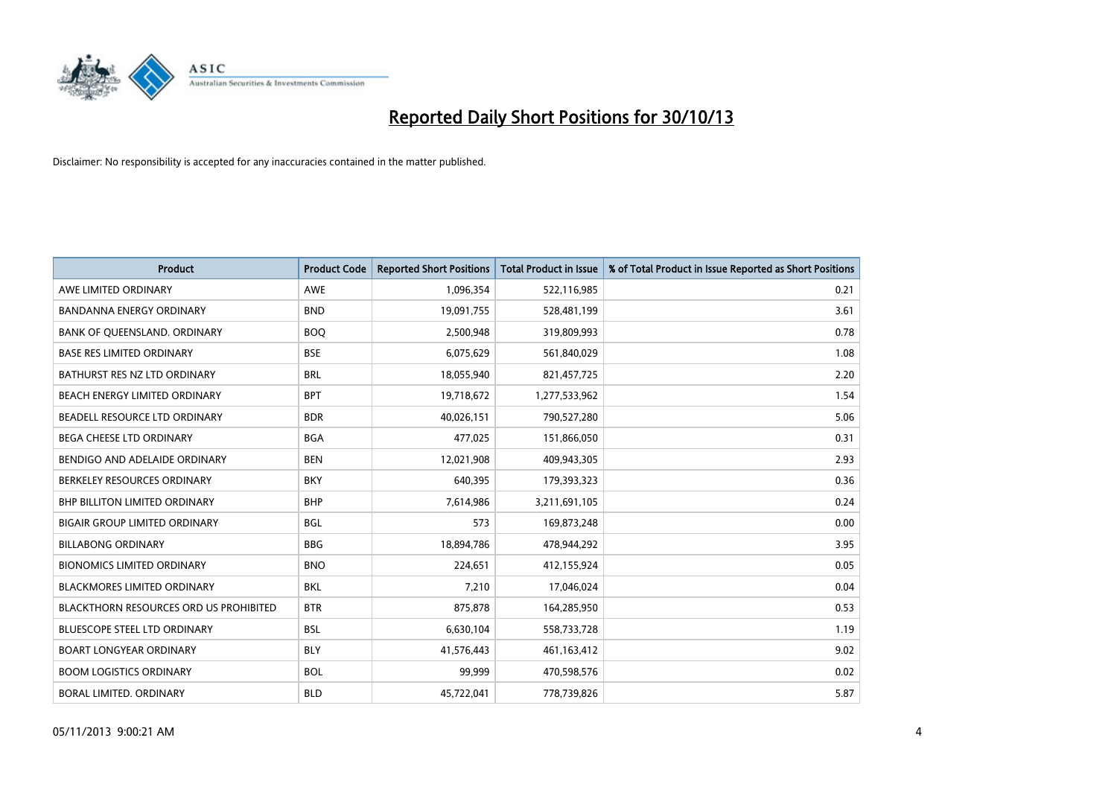

| <b>Product</b>                                | <b>Product Code</b> | <b>Reported Short Positions</b> | <b>Total Product in Issue</b> | % of Total Product in Issue Reported as Short Positions |
|-----------------------------------------------|---------------------|---------------------------------|-------------------------------|---------------------------------------------------------|
| AWE LIMITED ORDINARY                          | AWE                 | 1,096,354                       | 522,116,985                   | 0.21                                                    |
| <b>BANDANNA ENERGY ORDINARY</b>               | <b>BND</b>          | 19,091,755                      | 528,481,199                   | 3.61                                                    |
| BANK OF QUEENSLAND. ORDINARY                  | <b>BOQ</b>          | 2,500,948                       | 319,809,993                   | 0.78                                                    |
| <b>BASE RES LIMITED ORDINARY</b>              | <b>BSE</b>          | 6,075,629                       | 561,840,029                   | 1.08                                                    |
| BATHURST RES NZ LTD ORDINARY                  | <b>BRL</b>          | 18,055,940                      | 821,457,725                   | 2.20                                                    |
| BEACH ENERGY LIMITED ORDINARY                 | <b>BPT</b>          | 19,718,672                      | 1,277,533,962                 | 1.54                                                    |
| BEADELL RESOURCE LTD ORDINARY                 | <b>BDR</b>          | 40,026,151                      | 790,527,280                   | 5.06                                                    |
| <b>BEGA CHEESE LTD ORDINARY</b>               | <b>BGA</b>          | 477,025                         | 151,866,050                   | 0.31                                                    |
| BENDIGO AND ADELAIDE ORDINARY                 | <b>BEN</b>          | 12,021,908                      | 409,943,305                   | 2.93                                                    |
| BERKELEY RESOURCES ORDINARY                   | <b>BKY</b>          | 640,395                         | 179,393,323                   | 0.36                                                    |
| <b>BHP BILLITON LIMITED ORDINARY</b>          | <b>BHP</b>          | 7,614,986                       | 3,211,691,105                 | 0.24                                                    |
| <b>BIGAIR GROUP LIMITED ORDINARY</b>          | BGL                 | 573                             | 169,873,248                   | 0.00                                                    |
| <b>BILLABONG ORDINARY</b>                     | <b>BBG</b>          | 18,894,786                      | 478,944,292                   | 3.95                                                    |
| <b>BIONOMICS LIMITED ORDINARY</b>             | <b>BNO</b>          | 224,651                         | 412,155,924                   | 0.05                                                    |
| <b>BLACKMORES LIMITED ORDINARY</b>            | <b>BKL</b>          | 7,210                           | 17,046,024                    | 0.04                                                    |
| <b>BLACKTHORN RESOURCES ORD US PROHIBITED</b> | <b>BTR</b>          | 875,878                         | 164,285,950                   | 0.53                                                    |
| <b>BLUESCOPE STEEL LTD ORDINARY</b>           | <b>BSL</b>          | 6,630,104                       | 558,733,728                   | 1.19                                                    |
| <b>BOART LONGYEAR ORDINARY</b>                | <b>BLY</b>          | 41,576,443                      | 461,163,412                   | 9.02                                                    |
| <b>BOOM LOGISTICS ORDINARY</b>                | <b>BOL</b>          | 99.999                          | 470,598,576                   | 0.02                                                    |
| <b>BORAL LIMITED, ORDINARY</b>                | <b>BLD</b>          | 45,722,041                      | 778,739,826                   | 5.87                                                    |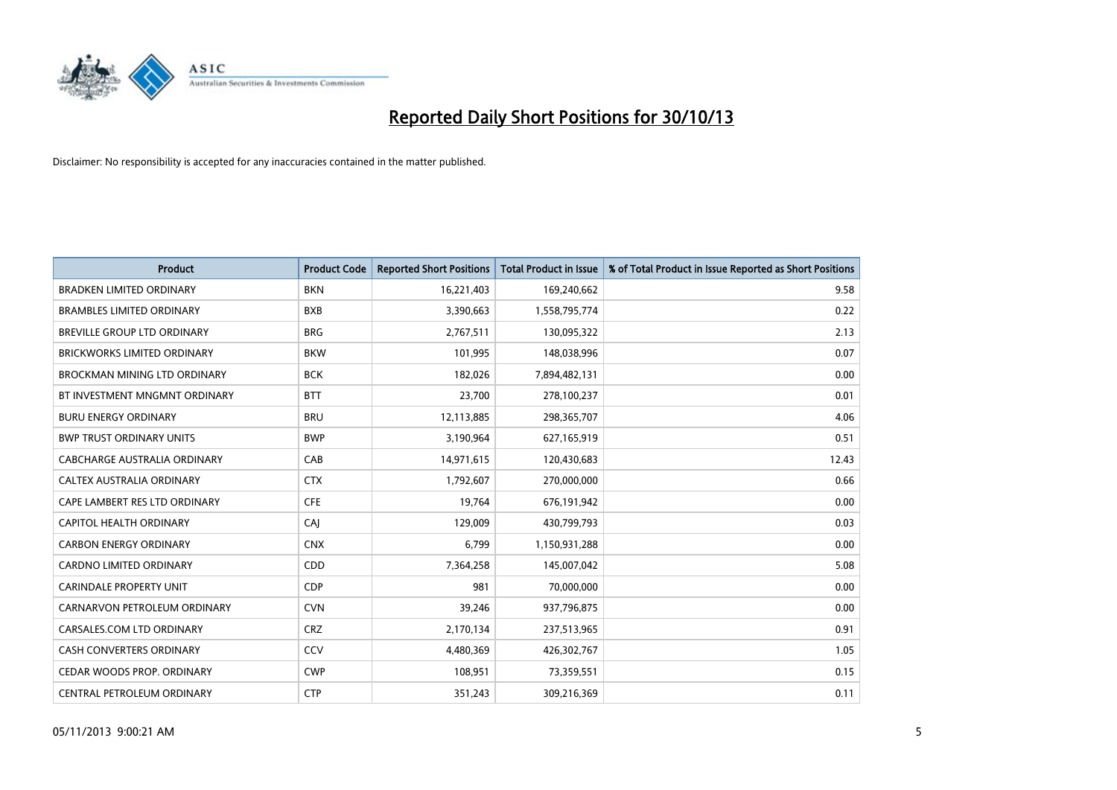

| <b>Product</b>                     | <b>Product Code</b> | <b>Reported Short Positions</b> | <b>Total Product in Issue</b> | % of Total Product in Issue Reported as Short Positions |
|------------------------------------|---------------------|---------------------------------|-------------------------------|---------------------------------------------------------|
| <b>BRADKEN LIMITED ORDINARY</b>    | <b>BKN</b>          | 16,221,403                      | 169,240,662                   | 9.58                                                    |
| <b>BRAMBLES LIMITED ORDINARY</b>   | <b>BXB</b>          | 3,390,663                       | 1,558,795,774                 | 0.22                                                    |
| BREVILLE GROUP LTD ORDINARY        | <b>BRG</b>          | 2,767,511                       | 130,095,322                   | 2.13                                                    |
| <b>BRICKWORKS LIMITED ORDINARY</b> | <b>BKW</b>          | 101,995                         | 148,038,996                   | 0.07                                                    |
| BROCKMAN MINING LTD ORDINARY       | <b>BCK</b>          | 182,026                         | 7,894,482,131                 | 0.00                                                    |
| BT INVESTMENT MNGMNT ORDINARY      | <b>BTT</b>          | 23,700                          | 278,100,237                   | 0.01                                                    |
| <b>BURU ENERGY ORDINARY</b>        | <b>BRU</b>          | 12,113,885                      | 298,365,707                   | 4.06                                                    |
| <b>BWP TRUST ORDINARY UNITS</b>    | <b>BWP</b>          | 3,190,964                       | 627,165,919                   | 0.51                                                    |
| CABCHARGE AUSTRALIA ORDINARY       | CAB                 | 14,971,615                      | 120,430,683                   | 12.43                                                   |
| CALTEX AUSTRALIA ORDINARY          | <b>CTX</b>          | 1,792,607                       | 270,000,000                   | 0.66                                                    |
| CAPE LAMBERT RES LTD ORDINARY      | <b>CFE</b>          | 19,764                          | 676,191,942                   | 0.00                                                    |
| CAPITOL HEALTH ORDINARY            | <b>CAJ</b>          | 129,009                         | 430,799,793                   | 0.03                                                    |
| <b>CARBON ENERGY ORDINARY</b>      | <b>CNX</b>          | 6,799                           | 1,150,931,288                 | 0.00                                                    |
| <b>CARDNO LIMITED ORDINARY</b>     | CDD                 | 7,364,258                       | 145,007,042                   | 5.08                                                    |
| <b>CARINDALE PROPERTY UNIT</b>     | <b>CDP</b>          | 981                             | 70,000,000                    | 0.00                                                    |
| CARNARVON PETROLEUM ORDINARY       | <b>CVN</b>          | 39,246                          | 937,796,875                   | 0.00                                                    |
| CARSALES.COM LTD ORDINARY          | <b>CRZ</b>          | 2,170,134                       | 237,513,965                   | 0.91                                                    |
| CASH CONVERTERS ORDINARY           | CCV                 | 4,480,369                       | 426,302,767                   | 1.05                                                    |
| CEDAR WOODS PROP. ORDINARY         | <b>CWP</b>          | 108,951                         | 73,359,551                    | 0.15                                                    |
| CENTRAL PETROLEUM ORDINARY         | <b>CTP</b>          | 351,243                         | 309,216,369                   | 0.11                                                    |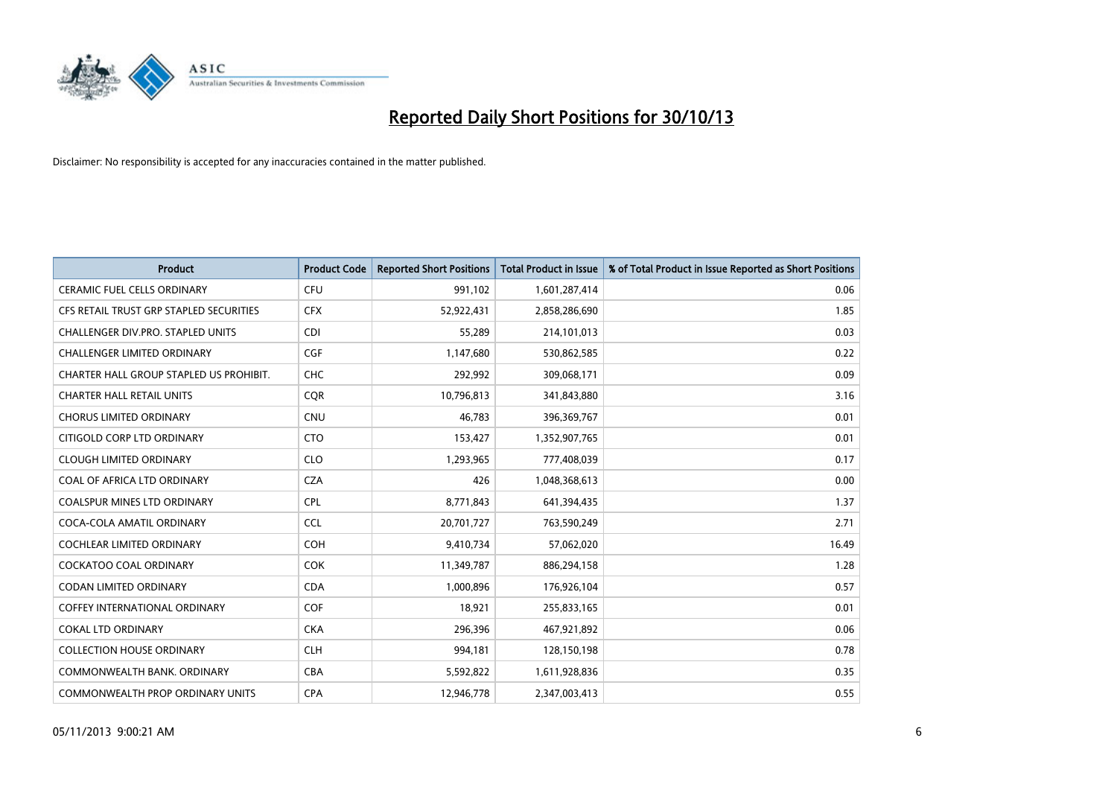

| <b>Product</b>                          | <b>Product Code</b> | <b>Reported Short Positions</b> | <b>Total Product in Issue</b> | % of Total Product in Issue Reported as Short Positions |
|-----------------------------------------|---------------------|---------------------------------|-------------------------------|---------------------------------------------------------|
| <b>CERAMIC FUEL CELLS ORDINARY</b>      | <b>CFU</b>          | 991,102                         | 1,601,287,414                 | 0.06                                                    |
| CFS RETAIL TRUST GRP STAPLED SECURITIES | <b>CFX</b>          | 52,922,431                      | 2,858,286,690                 | 1.85                                                    |
| CHALLENGER DIV.PRO. STAPLED UNITS       | <b>CDI</b>          | 55,289                          | 214,101,013                   | 0.03                                                    |
| <b>CHALLENGER LIMITED ORDINARY</b>      | <b>CGF</b>          | 1,147,680                       | 530,862,585                   | 0.22                                                    |
| CHARTER HALL GROUP STAPLED US PROHIBIT. | <b>CHC</b>          | 292,992                         | 309,068,171                   | 0.09                                                    |
| <b>CHARTER HALL RETAIL UNITS</b>        | CQR                 | 10,796,813                      | 341,843,880                   | 3.16                                                    |
| <b>CHORUS LIMITED ORDINARY</b>          | CNU                 | 46,783                          | 396,369,767                   | 0.01                                                    |
| CITIGOLD CORP LTD ORDINARY              | <b>CTO</b>          | 153,427                         | 1,352,907,765                 | 0.01                                                    |
| <b>CLOUGH LIMITED ORDINARY</b>          | <b>CLO</b>          | 1,293,965                       | 777,408,039                   | 0.17                                                    |
| COAL OF AFRICA LTD ORDINARY             | <b>CZA</b>          | 426                             | 1,048,368,613                 | 0.00                                                    |
| <b>COALSPUR MINES LTD ORDINARY</b>      | <b>CPL</b>          | 8,771,843                       | 641,394,435                   | 1.37                                                    |
| COCA-COLA AMATIL ORDINARY               | <b>CCL</b>          | 20,701,727                      | 763,590,249                   | 2.71                                                    |
| <b>COCHLEAR LIMITED ORDINARY</b>        | <b>COH</b>          | 9,410,734                       | 57,062,020                    | 16.49                                                   |
| <b>COCKATOO COAL ORDINARY</b>           | <b>COK</b>          | 11,349,787                      | 886,294,158                   | 1.28                                                    |
| <b>CODAN LIMITED ORDINARY</b>           | <b>CDA</b>          | 1,000,896                       | 176,926,104                   | 0.57                                                    |
| <b>COFFEY INTERNATIONAL ORDINARY</b>    | <b>COF</b>          | 18,921                          | 255,833,165                   | 0.01                                                    |
| <b>COKAL LTD ORDINARY</b>               | <b>CKA</b>          | 296,396                         | 467,921,892                   | 0.06                                                    |
| <b>COLLECTION HOUSE ORDINARY</b>        | <b>CLH</b>          | 994,181                         | 128,150,198                   | 0.78                                                    |
| COMMONWEALTH BANK, ORDINARY             | <b>CBA</b>          | 5,592,822                       | 1,611,928,836                 | 0.35                                                    |
| COMMONWEALTH PROP ORDINARY UNITS        | <b>CPA</b>          | 12,946,778                      | 2,347,003,413                 | 0.55                                                    |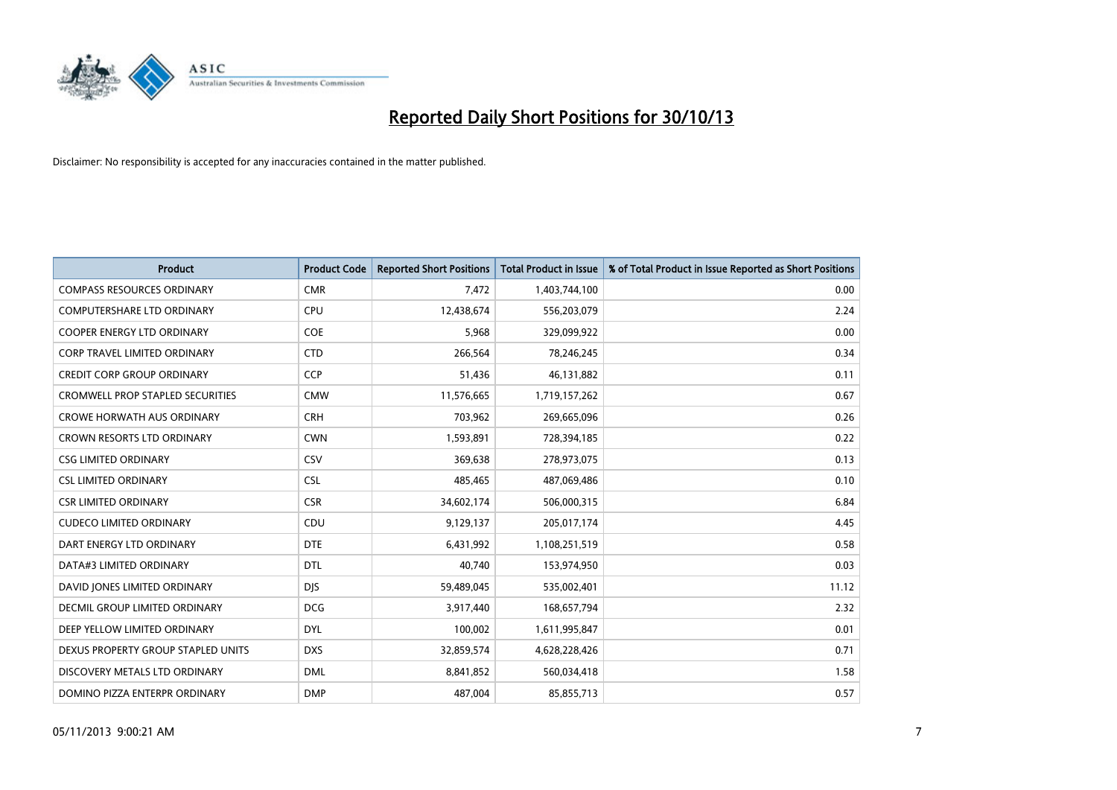

| <b>Product</b>                          | <b>Product Code</b> | <b>Reported Short Positions</b> | <b>Total Product in Issue</b> | % of Total Product in Issue Reported as Short Positions |
|-----------------------------------------|---------------------|---------------------------------|-------------------------------|---------------------------------------------------------|
| <b>COMPASS RESOURCES ORDINARY</b>       | <b>CMR</b>          | 7,472                           | 1,403,744,100                 | 0.00                                                    |
| COMPUTERSHARE LTD ORDINARY              | <b>CPU</b>          | 12,438,674                      | 556,203,079                   | 2.24                                                    |
| <b>COOPER ENERGY LTD ORDINARY</b>       | <b>COE</b>          | 5,968                           | 329,099,922                   | 0.00                                                    |
| CORP TRAVEL LIMITED ORDINARY            | <b>CTD</b>          | 266,564                         | 78,246,245                    | 0.34                                                    |
| <b>CREDIT CORP GROUP ORDINARY</b>       | <b>CCP</b>          | 51,436                          | 46,131,882                    | 0.11                                                    |
| <b>CROMWELL PROP STAPLED SECURITIES</b> | <b>CMW</b>          | 11,576,665                      | 1,719,157,262                 | 0.67                                                    |
| <b>CROWE HORWATH AUS ORDINARY</b>       | <b>CRH</b>          | 703,962                         | 269,665,096                   | 0.26                                                    |
| <b>CROWN RESORTS LTD ORDINARY</b>       | <b>CWN</b>          | 1,593,891                       | 728,394,185                   | 0.22                                                    |
| <b>CSG LIMITED ORDINARY</b>             | CSV                 | 369,638                         | 278,973,075                   | 0.13                                                    |
| <b>CSL LIMITED ORDINARY</b>             | <b>CSL</b>          | 485,465                         | 487,069,486                   | 0.10                                                    |
| <b>CSR LIMITED ORDINARY</b>             | <b>CSR</b>          | 34,602,174                      | 506,000,315                   | 6.84                                                    |
| <b>CUDECO LIMITED ORDINARY</b>          | CDU                 | 9,129,137                       | 205,017,174                   | 4.45                                                    |
| DART ENERGY LTD ORDINARY                | <b>DTE</b>          | 6,431,992                       | 1,108,251,519                 | 0.58                                                    |
| DATA#3 LIMITED ORDINARY                 | <b>DTL</b>          | 40,740                          | 153,974,950                   | 0.03                                                    |
| DAVID JONES LIMITED ORDINARY            | <b>DJS</b>          | 59,489,045                      | 535,002,401                   | 11.12                                                   |
| <b>DECMIL GROUP LIMITED ORDINARY</b>    | <b>DCG</b>          | 3,917,440                       | 168,657,794                   | 2.32                                                    |
| DEEP YELLOW LIMITED ORDINARY            | <b>DYL</b>          | 100,002                         | 1,611,995,847                 | 0.01                                                    |
| DEXUS PROPERTY GROUP STAPLED UNITS      | <b>DXS</b>          | 32,859,574                      | 4,628,228,426                 | 0.71                                                    |
| DISCOVERY METALS LTD ORDINARY           | <b>DML</b>          | 8,841,852                       | 560,034,418                   | 1.58                                                    |
| DOMINO PIZZA ENTERPR ORDINARY           | <b>DMP</b>          | 487,004                         | 85,855,713                    | 0.57                                                    |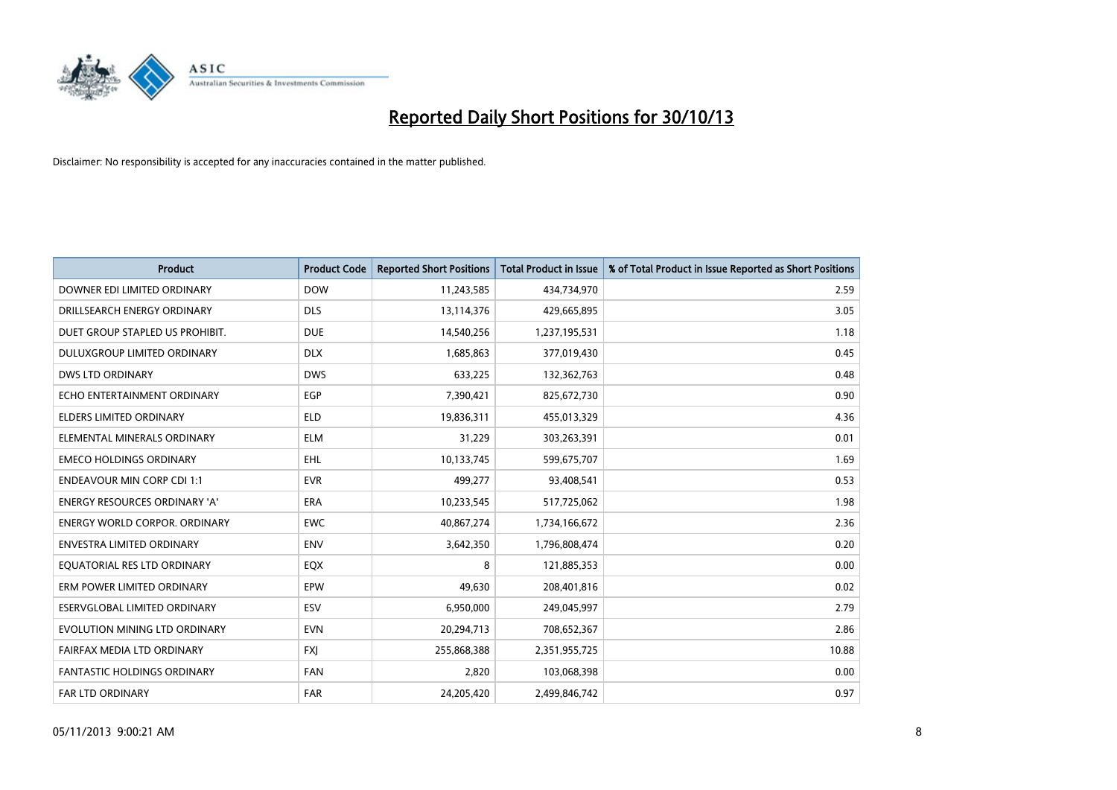

| <b>Product</b>                       | <b>Product Code</b> | <b>Reported Short Positions</b> | <b>Total Product in Issue</b> | % of Total Product in Issue Reported as Short Positions |
|--------------------------------------|---------------------|---------------------------------|-------------------------------|---------------------------------------------------------|
| DOWNER EDI LIMITED ORDINARY          | <b>DOW</b>          | 11,243,585                      | 434,734,970                   | 2.59                                                    |
| DRILLSEARCH ENERGY ORDINARY          | <b>DLS</b>          | 13,114,376                      | 429,665,895                   | 3.05                                                    |
| DUET GROUP STAPLED US PROHIBIT.      | <b>DUE</b>          | 14,540,256                      | 1,237,195,531                 | 1.18                                                    |
| DULUXGROUP LIMITED ORDINARY          | <b>DLX</b>          | 1,685,863                       | 377,019,430                   | 0.45                                                    |
| <b>DWS LTD ORDINARY</b>              | <b>DWS</b>          | 633,225                         | 132,362,763                   | 0.48                                                    |
| ECHO ENTERTAINMENT ORDINARY          | EGP                 | 7,390,421                       | 825,672,730                   | 0.90                                                    |
| <b>ELDERS LIMITED ORDINARY</b>       | <b>ELD</b>          | 19,836,311                      | 455,013,329                   | 4.36                                                    |
| ELEMENTAL MINERALS ORDINARY          | <b>ELM</b>          | 31,229                          | 303,263,391                   | 0.01                                                    |
| <b>EMECO HOLDINGS ORDINARY</b>       | <b>EHL</b>          | 10,133,745                      | 599,675,707                   | 1.69                                                    |
| <b>ENDEAVOUR MIN CORP CDI 1:1</b>    | <b>EVR</b>          | 499,277                         | 93,408,541                    | 0.53                                                    |
| ENERGY RESOURCES ORDINARY 'A'        | <b>ERA</b>          | 10,233,545                      | 517,725,062                   | 1.98                                                    |
| <b>ENERGY WORLD CORPOR, ORDINARY</b> | <b>EWC</b>          | 40,867,274                      | 1,734,166,672                 | 2.36                                                    |
| <b>ENVESTRA LIMITED ORDINARY</b>     | <b>ENV</b>          | 3,642,350                       | 1,796,808,474                 | 0.20                                                    |
| EQUATORIAL RES LTD ORDINARY          | EQX                 | 8                               | 121,885,353                   | 0.00                                                    |
| ERM POWER LIMITED ORDINARY           | EPW                 | 49,630                          | 208,401,816                   | 0.02                                                    |
| ESERVGLOBAL LIMITED ORDINARY         | ESV                 | 6,950,000                       | 249,045,997                   | 2.79                                                    |
| EVOLUTION MINING LTD ORDINARY        | <b>EVN</b>          | 20,294,713                      | 708,652,367                   | 2.86                                                    |
| FAIRFAX MEDIA LTD ORDINARY           | <b>FXJ</b>          | 255,868,388                     | 2,351,955,725                 | 10.88                                                   |
| <b>FANTASTIC HOLDINGS ORDINARY</b>   | <b>FAN</b>          | 2,820                           | 103,068,398                   | 0.00                                                    |
| <b>FAR LTD ORDINARY</b>              | <b>FAR</b>          | 24,205,420                      | 2,499,846,742                 | 0.97                                                    |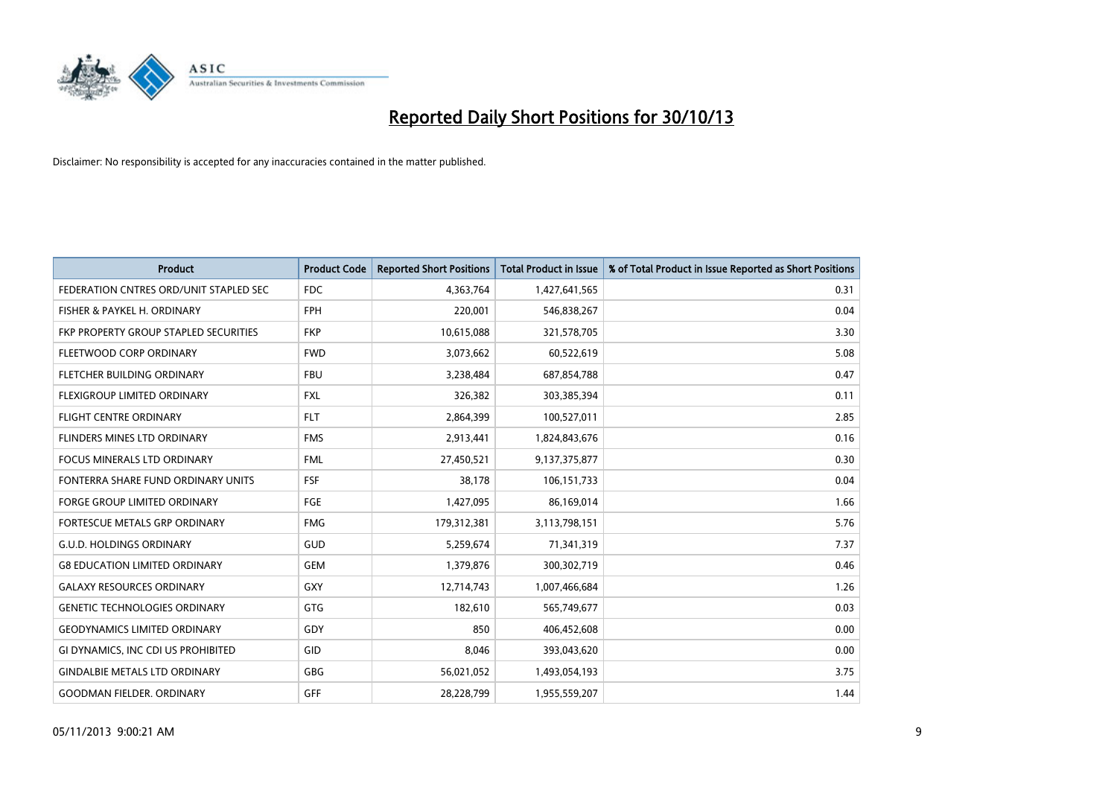

| <b>Product</b>                         | <b>Product Code</b> | <b>Reported Short Positions</b> | <b>Total Product in Issue</b> | % of Total Product in Issue Reported as Short Positions |
|----------------------------------------|---------------------|---------------------------------|-------------------------------|---------------------------------------------------------|
| FEDERATION CNTRES ORD/UNIT STAPLED SEC | <b>FDC</b>          | 4,363,764                       | 1,427,641,565                 | 0.31                                                    |
| FISHER & PAYKEL H. ORDINARY            | <b>FPH</b>          | 220,001                         | 546,838,267                   | 0.04                                                    |
| FKP PROPERTY GROUP STAPLED SECURITIES  | <b>FKP</b>          | 10,615,088                      | 321,578,705                   | 3.30                                                    |
| FLEETWOOD CORP ORDINARY                | <b>FWD</b>          | 3,073,662                       | 60,522,619                    | 5.08                                                    |
| FLETCHER BUILDING ORDINARY             | <b>FBU</b>          | 3,238,484                       | 687,854,788                   | 0.47                                                    |
| FLEXIGROUP LIMITED ORDINARY            | <b>FXL</b>          | 326,382                         | 303,385,394                   | 0.11                                                    |
| <b>FLIGHT CENTRE ORDINARY</b>          | <b>FLT</b>          | 2,864,399                       | 100,527,011                   | 2.85                                                    |
| FLINDERS MINES LTD ORDINARY            | <b>FMS</b>          | 2,913,441                       | 1,824,843,676                 | 0.16                                                    |
| <b>FOCUS MINERALS LTD ORDINARY</b>     | <b>FML</b>          | 27,450,521                      | 9,137,375,877                 | 0.30                                                    |
| FONTERRA SHARE FUND ORDINARY UNITS     | <b>FSF</b>          | 38,178                          | 106,151,733                   | 0.04                                                    |
| FORGE GROUP LIMITED ORDINARY           | FGE                 | 1,427,095                       | 86,169,014                    | 1.66                                                    |
| <b>FORTESCUE METALS GRP ORDINARY</b>   | <b>FMG</b>          | 179,312,381                     | 3,113,798,151                 | 5.76                                                    |
| <b>G.U.D. HOLDINGS ORDINARY</b>        | GUD                 | 5,259,674                       | 71,341,319                    | 7.37                                                    |
| <b>G8 EDUCATION LIMITED ORDINARY</b>   | <b>GEM</b>          | 1,379,876                       | 300,302,719                   | 0.46                                                    |
| <b>GALAXY RESOURCES ORDINARY</b>       | GXY                 | 12,714,743                      | 1,007,466,684                 | 1.26                                                    |
| <b>GENETIC TECHNOLOGIES ORDINARY</b>   | GTG                 | 182,610                         | 565,749,677                   | 0.03                                                    |
| <b>GEODYNAMICS LIMITED ORDINARY</b>    | GDY                 | 850                             | 406,452,608                   | 0.00                                                    |
| GI DYNAMICS, INC CDI US PROHIBITED     | GID                 | 8,046                           | 393,043,620                   | 0.00                                                    |
| <b>GINDALBIE METALS LTD ORDINARY</b>   | GBG                 | 56,021,052                      | 1,493,054,193                 | 3.75                                                    |
| <b>GOODMAN FIELDER, ORDINARY</b>       | <b>GFF</b>          | 28,228,799                      | 1,955,559,207                 | 1.44                                                    |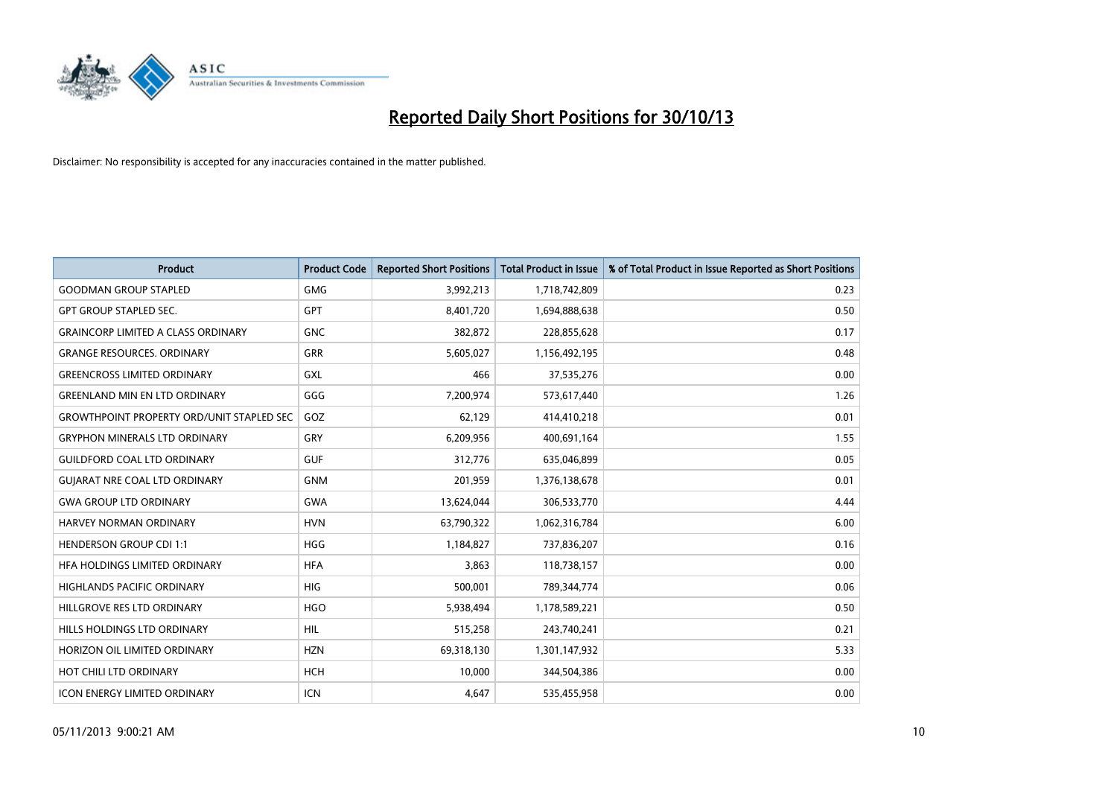

| <b>Product</b>                                   | <b>Product Code</b> | <b>Reported Short Positions</b> | <b>Total Product in Issue</b> | % of Total Product in Issue Reported as Short Positions |
|--------------------------------------------------|---------------------|---------------------------------|-------------------------------|---------------------------------------------------------|
| <b>GOODMAN GROUP STAPLED</b>                     | <b>GMG</b>          | 3,992,213                       | 1,718,742,809                 | 0.23                                                    |
| <b>GPT GROUP STAPLED SEC.</b>                    | <b>GPT</b>          | 8,401,720                       | 1,694,888,638                 | 0.50                                                    |
| <b>GRAINCORP LIMITED A CLASS ORDINARY</b>        | <b>GNC</b>          | 382,872                         | 228,855,628                   | 0.17                                                    |
| <b>GRANGE RESOURCES, ORDINARY</b>                | <b>GRR</b>          | 5,605,027                       | 1,156,492,195                 | 0.48                                                    |
| <b>GREENCROSS LIMITED ORDINARY</b>               | GXL                 | 466                             | 37,535,276                    | 0.00                                                    |
| <b>GREENLAND MIN EN LTD ORDINARY</b>             | GGG                 | 7,200,974                       | 573,617,440                   | 1.26                                                    |
| <b>GROWTHPOINT PROPERTY ORD/UNIT STAPLED SEC</b> | GOZ                 | 62,129                          | 414,410,218                   | 0.01                                                    |
| <b>GRYPHON MINERALS LTD ORDINARY</b>             | GRY                 | 6,209,956                       | 400,691,164                   | 1.55                                                    |
| <b>GUILDFORD COAL LTD ORDINARY</b>               | <b>GUF</b>          | 312,776                         | 635,046,899                   | 0.05                                                    |
| <b>GUIARAT NRE COAL LTD ORDINARY</b>             | <b>GNM</b>          | 201,959                         | 1,376,138,678                 | 0.01                                                    |
| <b>GWA GROUP LTD ORDINARY</b>                    | <b>GWA</b>          | 13,624,044                      | 306,533,770                   | 4.44                                                    |
| <b>HARVEY NORMAN ORDINARY</b>                    | <b>HVN</b>          | 63,790,322                      | 1,062,316,784                 | 6.00                                                    |
| <b>HENDERSON GROUP CDI 1:1</b>                   | <b>HGG</b>          | 1,184,827                       | 737,836,207                   | 0.16                                                    |
| HEA HOLDINGS LIMITED ORDINARY                    | <b>HFA</b>          | 3,863                           | 118,738,157                   | 0.00                                                    |
| HIGHLANDS PACIFIC ORDINARY                       | <b>HIG</b>          | 500,001                         | 789,344,774                   | 0.06                                                    |
| HILLGROVE RES LTD ORDINARY                       | <b>HGO</b>          | 5,938,494                       | 1,178,589,221                 | 0.50                                                    |
| HILLS HOLDINGS LTD ORDINARY                      | <b>HIL</b>          | 515,258                         | 243,740,241                   | 0.21                                                    |
| HORIZON OIL LIMITED ORDINARY                     | <b>HZN</b>          | 69,318,130                      | 1,301,147,932                 | 5.33                                                    |
| HOT CHILI LTD ORDINARY                           | <b>HCH</b>          | 10,000                          | 344,504,386                   | 0.00                                                    |
| <b>ICON ENERGY LIMITED ORDINARY</b>              | <b>ICN</b>          | 4,647                           | 535,455,958                   | 0.00                                                    |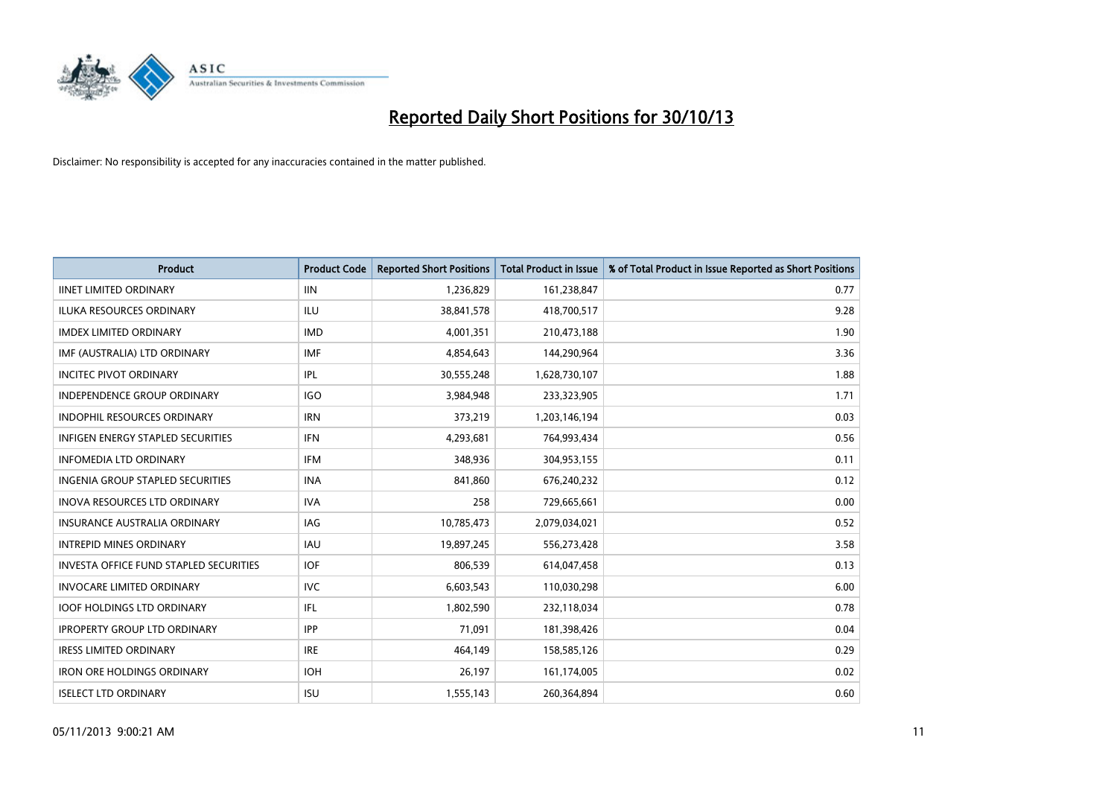

| <b>Product</b>                                | <b>Product Code</b> | <b>Reported Short Positions</b> | <b>Total Product in Issue</b> | % of Total Product in Issue Reported as Short Positions |
|-----------------------------------------------|---------------------|---------------------------------|-------------------------------|---------------------------------------------------------|
| <b>IINET LIMITED ORDINARY</b>                 | <b>IIN</b>          | 1,236,829                       | 161,238,847                   | 0.77                                                    |
| ILUKA RESOURCES ORDINARY                      | ILU                 | 38,841,578                      | 418,700,517                   | 9.28                                                    |
| <b>IMDEX LIMITED ORDINARY</b>                 | <b>IMD</b>          | 4,001,351                       | 210,473,188                   | 1.90                                                    |
| IMF (AUSTRALIA) LTD ORDINARY                  | <b>IMF</b>          | 4,854,643                       | 144,290,964                   | 3.36                                                    |
| <b>INCITEC PIVOT ORDINARY</b>                 | <b>IPL</b>          | 30,555,248                      | 1,628,730,107                 | 1.88                                                    |
| <b>INDEPENDENCE GROUP ORDINARY</b>            | <b>IGO</b>          | 3,984,948                       | 233,323,905                   | 1.71                                                    |
| <b>INDOPHIL RESOURCES ORDINARY</b>            | <b>IRN</b>          | 373,219                         | 1,203,146,194                 | 0.03                                                    |
| <b>INFIGEN ENERGY STAPLED SECURITIES</b>      | <b>IFN</b>          | 4,293,681                       | 764,993,434                   | 0.56                                                    |
| <b>INFOMEDIA LTD ORDINARY</b>                 | <b>IFM</b>          | 348,936                         | 304,953,155                   | 0.11                                                    |
| INGENIA GROUP STAPLED SECURITIES              | <b>INA</b>          | 841,860                         | 676,240,232                   | 0.12                                                    |
| INOVA RESOURCES LTD ORDINARY                  | <b>IVA</b>          | 258                             | 729,665,661                   | 0.00                                                    |
| <b>INSURANCE AUSTRALIA ORDINARY</b>           | IAG                 | 10,785,473                      | 2,079,034,021                 | 0.52                                                    |
| <b>INTREPID MINES ORDINARY</b>                | <b>IAU</b>          | 19,897,245                      | 556,273,428                   | 3.58                                                    |
| <b>INVESTA OFFICE FUND STAPLED SECURITIES</b> | <b>IOF</b>          | 806,539                         | 614,047,458                   | 0.13                                                    |
| <b>INVOCARE LIMITED ORDINARY</b>              | <b>IVC</b>          | 6,603,543                       | 110,030,298                   | 6.00                                                    |
| <b>IOOF HOLDINGS LTD ORDINARY</b>             | IFL                 | 1,802,590                       | 232,118,034                   | 0.78                                                    |
| <b>IPROPERTY GROUP LTD ORDINARY</b>           | <b>IPP</b>          | 71,091                          | 181,398,426                   | 0.04                                                    |
| <b>IRESS LIMITED ORDINARY</b>                 | <b>IRE</b>          | 464,149                         | 158,585,126                   | 0.29                                                    |
| <b>IRON ORE HOLDINGS ORDINARY</b>             | <b>IOH</b>          | 26,197                          | 161,174,005                   | 0.02                                                    |
| <b>ISELECT LTD ORDINARY</b>                   | <b>ISU</b>          | 1,555,143                       | 260,364,894                   | 0.60                                                    |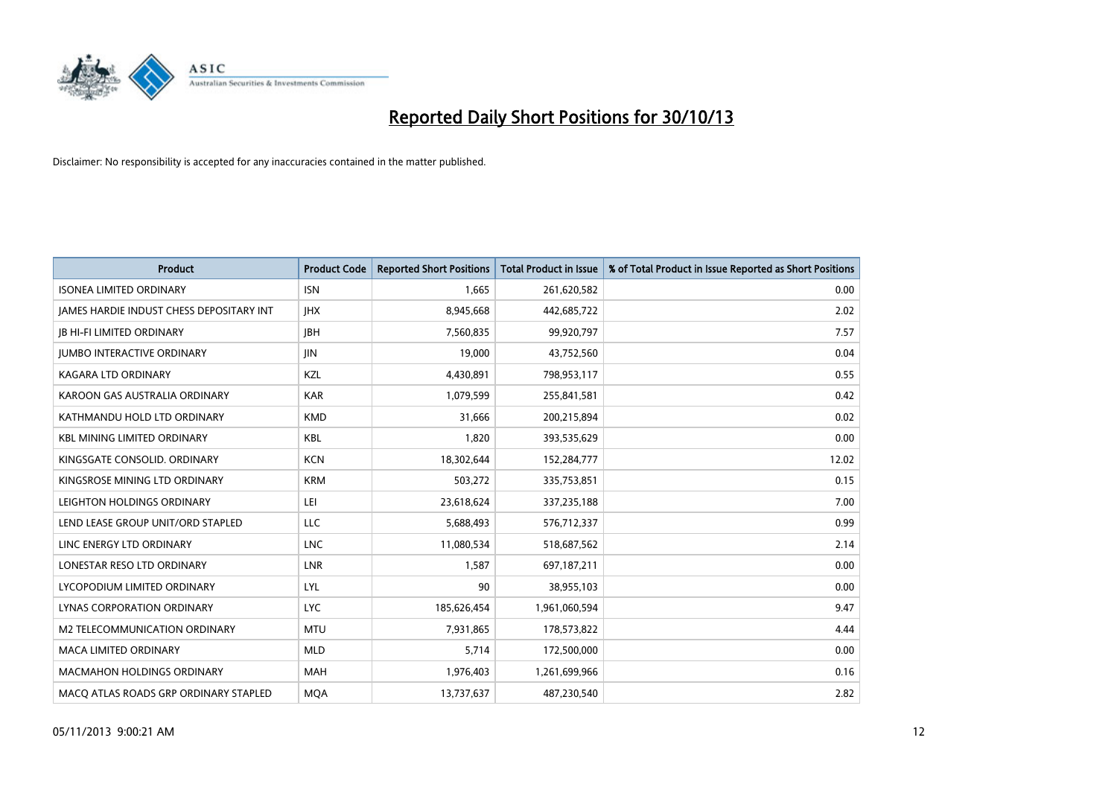

| <b>Product</b>                           | <b>Product Code</b> | <b>Reported Short Positions</b> | <b>Total Product in Issue</b> | % of Total Product in Issue Reported as Short Positions |
|------------------------------------------|---------------------|---------------------------------|-------------------------------|---------------------------------------------------------|
| <b>ISONEA LIMITED ORDINARY</b>           | <b>ISN</b>          | 1,665                           | 261,620,582                   | 0.00                                                    |
| JAMES HARDIE INDUST CHESS DEPOSITARY INT | <b>IHX</b>          | 8,945,668                       | 442,685,722                   | 2.02                                                    |
| <b>JB HI-FI LIMITED ORDINARY</b>         | <b>JBH</b>          | 7,560,835                       | 99,920,797                    | 7.57                                                    |
| <b>JUMBO INTERACTIVE ORDINARY</b>        | JIN.                | 19,000                          | 43,752,560                    | 0.04                                                    |
| <b>KAGARA LTD ORDINARY</b>               | KZL                 | 4,430,891                       | 798,953,117                   | 0.55                                                    |
| KAROON GAS AUSTRALIA ORDINARY            | <b>KAR</b>          | 1,079,599                       | 255,841,581                   | 0.42                                                    |
| KATHMANDU HOLD LTD ORDINARY              | <b>KMD</b>          | 31,666                          | 200,215,894                   | 0.02                                                    |
| <b>KBL MINING LIMITED ORDINARY</b>       | <b>KBL</b>          | 1,820                           | 393,535,629                   | 0.00                                                    |
| KINGSGATE CONSOLID. ORDINARY             | <b>KCN</b>          | 18,302,644                      | 152,284,777                   | 12.02                                                   |
| KINGSROSE MINING LTD ORDINARY            | <b>KRM</b>          | 503,272                         | 335,753,851                   | 0.15                                                    |
| LEIGHTON HOLDINGS ORDINARY               | LEI                 | 23,618,624                      | 337,235,188                   | 7.00                                                    |
| LEND LEASE GROUP UNIT/ORD STAPLED        | LLC                 | 5,688,493                       | 576,712,337                   | 0.99                                                    |
| LINC ENERGY LTD ORDINARY                 | <b>LNC</b>          | 11,080,534                      | 518,687,562                   | 2.14                                                    |
| LONESTAR RESO LTD ORDINARY               | <b>LNR</b>          | 1,587                           | 697,187,211                   | 0.00                                                    |
| LYCOPODIUM LIMITED ORDINARY              | <b>LYL</b>          | 90                              | 38,955,103                    | 0.00                                                    |
| <b>LYNAS CORPORATION ORDINARY</b>        | <b>LYC</b>          | 185,626,454                     | 1,961,060,594                 | 9.47                                                    |
| M2 TELECOMMUNICATION ORDINARY            | <b>MTU</b>          | 7,931,865                       | 178,573,822                   | 4.44                                                    |
| <b>MACA LIMITED ORDINARY</b>             | <b>MLD</b>          | 5,714                           | 172,500,000                   | 0.00                                                    |
| <b>MACMAHON HOLDINGS ORDINARY</b>        | <b>MAH</b>          | 1,976,403                       | 1,261,699,966                 | 0.16                                                    |
| MACO ATLAS ROADS GRP ORDINARY STAPLED    | <b>MOA</b>          | 13,737,637                      | 487,230,540                   | 2.82                                                    |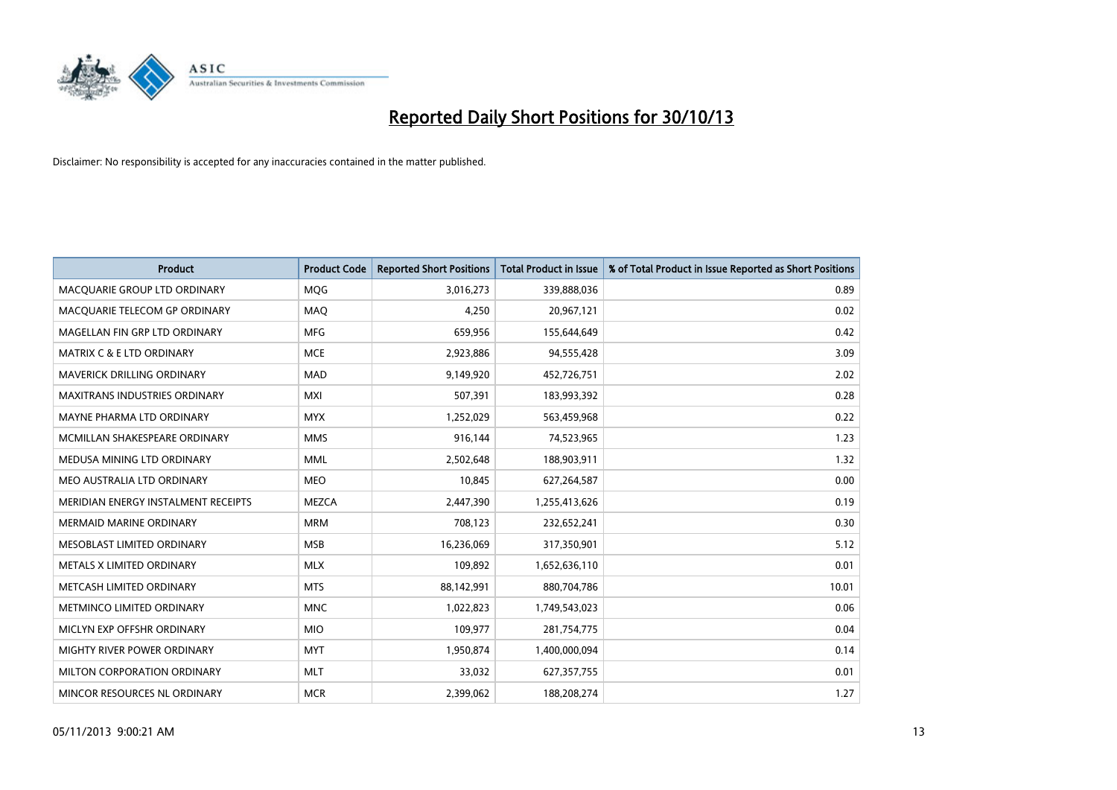

| <b>Product</b>                       | <b>Product Code</b> | <b>Reported Short Positions</b> | <b>Total Product in Issue</b> | % of Total Product in Issue Reported as Short Positions |
|--------------------------------------|---------------------|---------------------------------|-------------------------------|---------------------------------------------------------|
| MACQUARIE GROUP LTD ORDINARY         | MQG                 | 3,016,273                       | 339,888,036                   | 0.89                                                    |
| MACQUARIE TELECOM GP ORDINARY        | MAQ                 | 4,250                           | 20,967,121                    | 0.02                                                    |
| MAGELLAN FIN GRP LTD ORDINARY        | <b>MFG</b>          | 659,956                         | 155,644,649                   | 0.42                                                    |
| <b>MATRIX C &amp; E LTD ORDINARY</b> | <b>MCE</b>          | 2,923,886                       | 94,555,428                    | 3.09                                                    |
| <b>MAVERICK DRILLING ORDINARY</b>    | <b>MAD</b>          | 9,149,920                       | 452,726,751                   | 2.02                                                    |
| <b>MAXITRANS INDUSTRIES ORDINARY</b> | <b>MXI</b>          | 507,391                         | 183,993,392                   | 0.28                                                    |
| MAYNE PHARMA LTD ORDINARY            | <b>MYX</b>          | 1,252,029                       | 563,459,968                   | 0.22                                                    |
| MCMILLAN SHAKESPEARE ORDINARY        | <b>MMS</b>          | 916,144                         | 74,523,965                    | 1.23                                                    |
| MEDUSA MINING LTD ORDINARY           | <b>MML</b>          | 2,502,648                       | 188,903,911                   | 1.32                                                    |
| MEO AUSTRALIA LTD ORDINARY           | <b>MEO</b>          | 10,845                          | 627,264,587                   | 0.00                                                    |
| MERIDIAN ENERGY INSTALMENT RECEIPTS  | <b>MEZCA</b>        | 2,447,390                       | 1,255,413,626                 | 0.19                                                    |
| <b>MERMAID MARINE ORDINARY</b>       | <b>MRM</b>          | 708,123                         | 232,652,241                   | 0.30                                                    |
| MESOBLAST LIMITED ORDINARY           | <b>MSB</b>          | 16,236,069                      | 317,350,901                   | 5.12                                                    |
| METALS X LIMITED ORDINARY            | <b>MLX</b>          | 109,892                         | 1,652,636,110                 | 0.01                                                    |
| METCASH LIMITED ORDINARY             | <b>MTS</b>          | 88,142,991                      | 880,704,786                   | 10.01                                                   |
| METMINCO LIMITED ORDINARY            | <b>MNC</b>          | 1,022,823                       | 1,749,543,023                 | 0.06                                                    |
| MICLYN EXP OFFSHR ORDINARY           | <b>MIO</b>          | 109,977                         | 281,754,775                   | 0.04                                                    |
| MIGHTY RIVER POWER ORDINARY          | <b>MYT</b>          | 1,950,874                       | 1,400,000,094                 | 0.14                                                    |
| MILTON CORPORATION ORDINARY          | <b>MLT</b>          | 33,032                          | 627,357,755                   | 0.01                                                    |
| MINCOR RESOURCES NL ORDINARY         | <b>MCR</b>          | 2,399,062                       | 188,208,274                   | 1.27                                                    |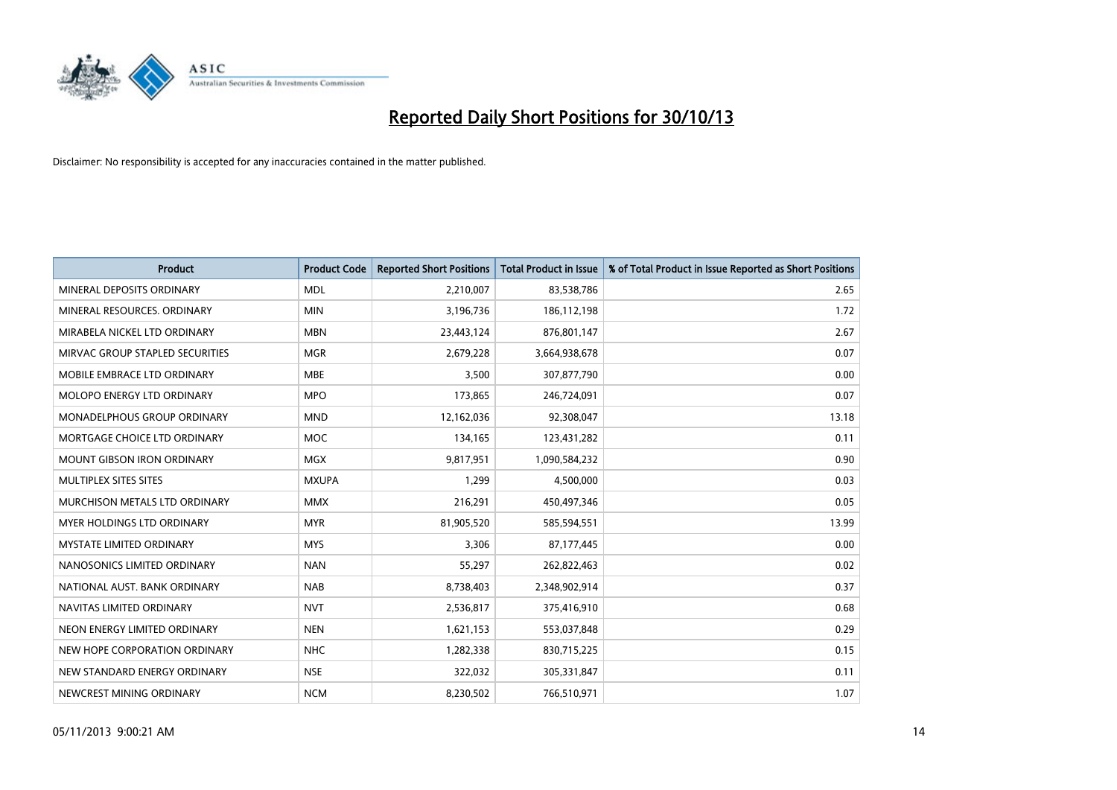

| <b>Product</b>                     | <b>Product Code</b> | <b>Reported Short Positions</b> | <b>Total Product in Issue</b> | % of Total Product in Issue Reported as Short Positions |
|------------------------------------|---------------------|---------------------------------|-------------------------------|---------------------------------------------------------|
| MINERAL DEPOSITS ORDINARY          | <b>MDL</b>          | 2,210,007                       | 83,538,786                    | 2.65                                                    |
| MINERAL RESOURCES. ORDINARY        | <b>MIN</b>          | 3,196,736                       | 186,112,198                   | 1.72                                                    |
| MIRABELA NICKEL LTD ORDINARY       | <b>MBN</b>          | 23,443,124                      | 876,801,147                   | 2.67                                                    |
| MIRVAC GROUP STAPLED SECURITIES    | <b>MGR</b>          | 2,679,228                       | 3,664,938,678                 | 0.07                                                    |
| MOBILE EMBRACE LTD ORDINARY        | <b>MBE</b>          | 3,500                           | 307,877,790                   | 0.00                                                    |
| MOLOPO ENERGY LTD ORDINARY         | <b>MPO</b>          | 173,865                         | 246,724,091                   | 0.07                                                    |
| <b>MONADELPHOUS GROUP ORDINARY</b> | <b>MND</b>          | 12,162,036                      | 92,308,047                    | 13.18                                                   |
| MORTGAGE CHOICE LTD ORDINARY       | <b>MOC</b>          | 134,165                         | 123,431,282                   | 0.11                                                    |
| <b>MOUNT GIBSON IRON ORDINARY</b>  | <b>MGX</b>          | 9,817,951                       | 1,090,584,232                 | 0.90                                                    |
| MULTIPLEX SITES SITES              | <b>MXUPA</b>        | 1,299                           | 4,500,000                     | 0.03                                                    |
| MURCHISON METALS LTD ORDINARY      | <b>MMX</b>          | 216,291                         | 450,497,346                   | 0.05                                                    |
| MYER HOLDINGS LTD ORDINARY         | <b>MYR</b>          | 81,905,520                      | 585,594,551                   | 13.99                                                   |
| <b>MYSTATE LIMITED ORDINARY</b>    | <b>MYS</b>          | 3,306                           | 87,177,445                    | 0.00                                                    |
| NANOSONICS LIMITED ORDINARY        | <b>NAN</b>          | 55,297                          | 262,822,463                   | 0.02                                                    |
| NATIONAL AUST, BANK ORDINARY       | <b>NAB</b>          | 8,738,403                       | 2,348,902,914                 | 0.37                                                    |
| NAVITAS LIMITED ORDINARY           | <b>NVT</b>          | 2,536,817                       | 375,416,910                   | 0.68                                                    |
| NEON ENERGY LIMITED ORDINARY       | <b>NEN</b>          | 1,621,153                       | 553,037,848                   | 0.29                                                    |
| NEW HOPE CORPORATION ORDINARY      | <b>NHC</b>          | 1,282,338                       | 830,715,225                   | 0.15                                                    |
| NEW STANDARD ENERGY ORDINARY       | <b>NSE</b>          | 322,032                         | 305,331,847                   | 0.11                                                    |
| NEWCREST MINING ORDINARY           | <b>NCM</b>          | 8,230,502                       | 766,510,971                   | 1.07                                                    |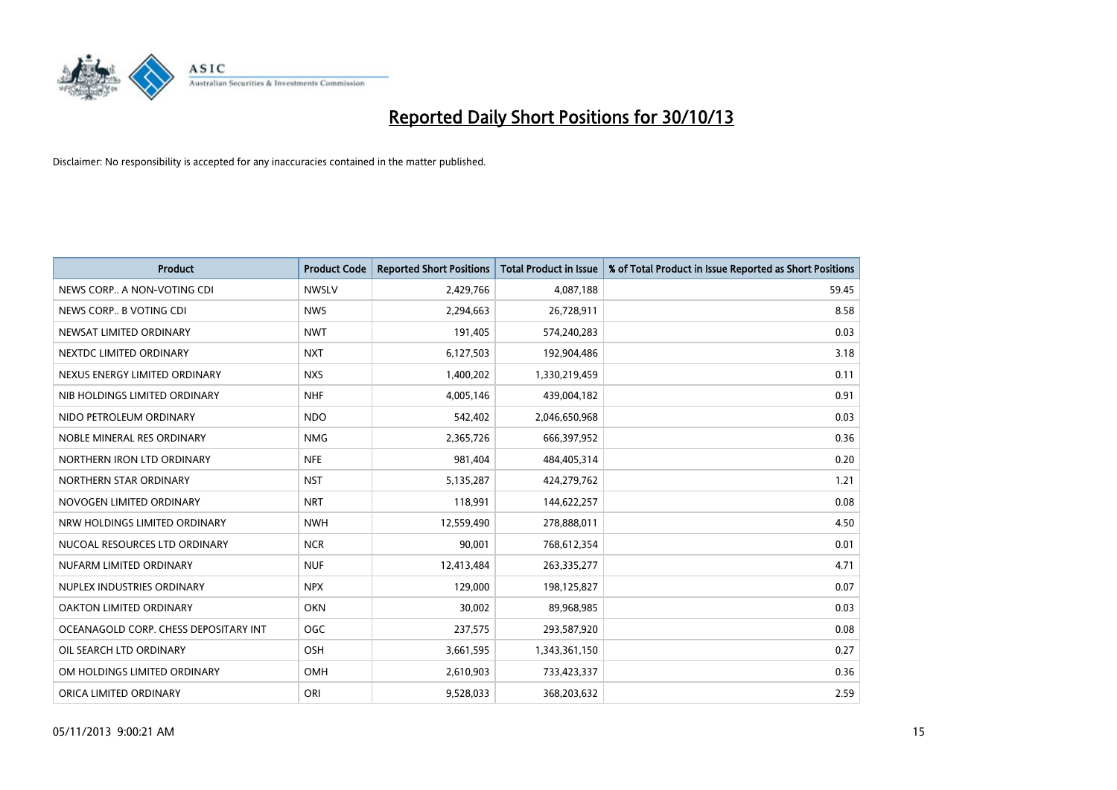

| <b>Product</b>                        | <b>Product Code</b> | <b>Reported Short Positions</b> | <b>Total Product in Issue</b> | % of Total Product in Issue Reported as Short Positions |
|---------------------------------------|---------------------|---------------------------------|-------------------------------|---------------------------------------------------------|
| NEWS CORP A NON-VOTING CDI            | <b>NWSLV</b>        | 2,429,766                       | 4,087,188                     | 59.45                                                   |
| NEWS CORP B VOTING CDI                | <b>NWS</b>          | 2,294,663                       | 26,728,911                    | 8.58                                                    |
| NEWSAT LIMITED ORDINARY               | <b>NWT</b>          | 191,405                         | 574,240,283                   | 0.03                                                    |
| NEXTDC LIMITED ORDINARY               | <b>NXT</b>          | 6,127,503                       | 192,904,486                   | 3.18                                                    |
| NEXUS ENERGY LIMITED ORDINARY         | <b>NXS</b>          | 1,400,202                       | 1,330,219,459                 | 0.11                                                    |
| NIB HOLDINGS LIMITED ORDINARY         | <b>NHF</b>          | 4,005,146                       | 439,004,182                   | 0.91                                                    |
| NIDO PETROLEUM ORDINARY               | <b>NDO</b>          | 542,402                         | 2,046,650,968                 | 0.03                                                    |
| NOBLE MINERAL RES ORDINARY            | <b>NMG</b>          | 2,365,726                       | 666,397,952                   | 0.36                                                    |
| NORTHERN IRON LTD ORDINARY            | <b>NFE</b>          | 981,404                         | 484,405,314                   | 0.20                                                    |
| NORTHERN STAR ORDINARY                | <b>NST</b>          | 5,135,287                       | 424,279,762                   | 1.21                                                    |
| NOVOGEN LIMITED ORDINARY              | <b>NRT</b>          | 118,991                         | 144,622,257                   | 0.08                                                    |
| NRW HOLDINGS LIMITED ORDINARY         | <b>NWH</b>          | 12,559,490                      | 278,888,011                   | 4.50                                                    |
| NUCOAL RESOURCES LTD ORDINARY         | <b>NCR</b>          | 90,001                          | 768,612,354                   | 0.01                                                    |
| NUFARM LIMITED ORDINARY               | <b>NUF</b>          | 12,413,484                      | 263,335,277                   | 4.71                                                    |
| NUPLEX INDUSTRIES ORDINARY            | <b>NPX</b>          | 129,000                         | 198,125,827                   | 0.07                                                    |
| OAKTON LIMITED ORDINARY               | <b>OKN</b>          | 30,002                          | 89,968,985                    | 0.03                                                    |
| OCEANAGOLD CORP. CHESS DEPOSITARY INT | <b>OGC</b>          | 237,575                         | 293,587,920                   | 0.08                                                    |
| OIL SEARCH LTD ORDINARY               | OSH                 | 3,661,595                       | 1,343,361,150                 | 0.27                                                    |
| OM HOLDINGS LIMITED ORDINARY          | <b>OMH</b>          | 2,610,903                       | 733,423,337                   | 0.36                                                    |
| ORICA LIMITED ORDINARY                | ORI                 | 9,528,033                       | 368,203,632                   | 2.59                                                    |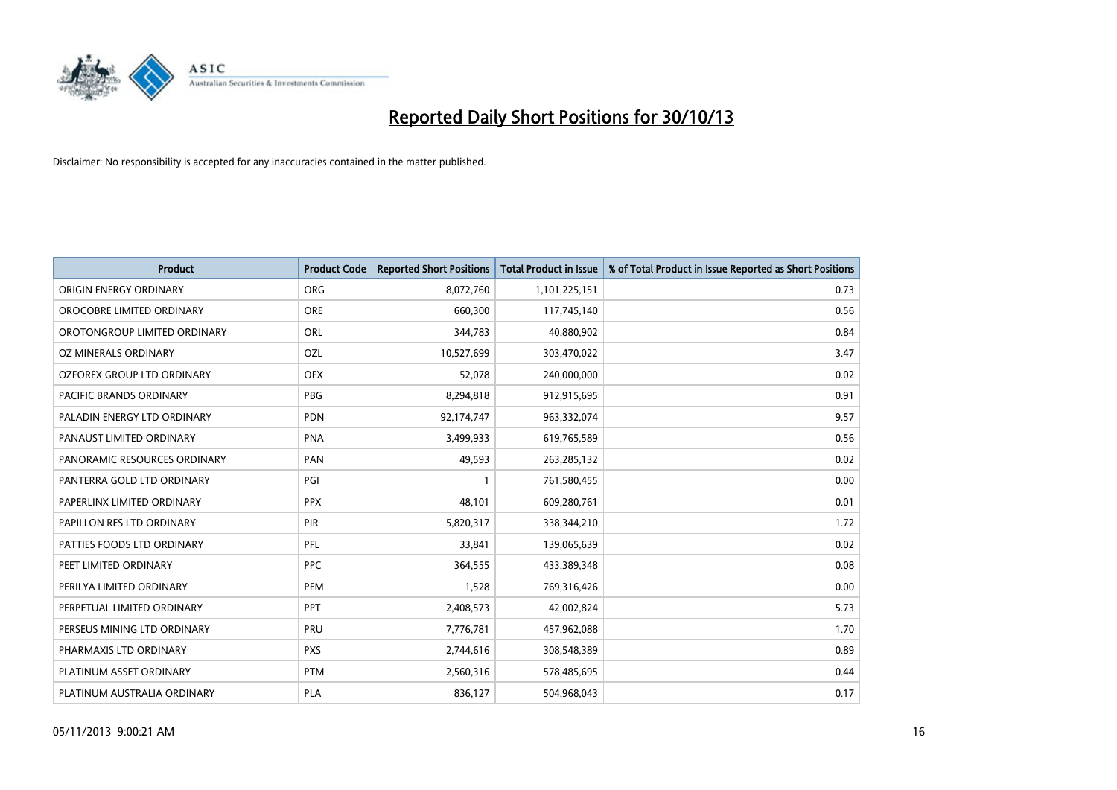

| <b>Product</b>                    | <b>Product Code</b> | <b>Reported Short Positions</b> | <b>Total Product in Issue</b> | % of Total Product in Issue Reported as Short Positions |
|-----------------------------------|---------------------|---------------------------------|-------------------------------|---------------------------------------------------------|
| ORIGIN ENERGY ORDINARY            | <b>ORG</b>          | 8,072,760                       | 1,101,225,151                 | 0.73                                                    |
| OROCOBRE LIMITED ORDINARY         | <b>ORE</b>          | 660,300                         | 117,745,140                   | 0.56                                                    |
| OROTONGROUP LIMITED ORDINARY      | ORL                 | 344,783                         | 40,880,902                    | 0.84                                                    |
| OZ MINERALS ORDINARY              | OZL                 | 10,527,699                      | 303,470,022                   | 3.47                                                    |
| <b>OZFOREX GROUP LTD ORDINARY</b> | <b>OFX</b>          | 52,078                          | 240,000,000                   | 0.02                                                    |
| PACIFIC BRANDS ORDINARY           | <b>PBG</b>          | 8,294,818                       | 912,915,695                   | 0.91                                                    |
| PALADIN ENERGY LTD ORDINARY       | <b>PDN</b>          | 92,174,747                      | 963,332,074                   | 9.57                                                    |
| PANAUST LIMITED ORDINARY          | <b>PNA</b>          | 3,499,933                       | 619,765,589                   | 0.56                                                    |
| PANORAMIC RESOURCES ORDINARY      | PAN                 | 49,593                          | 263,285,132                   | 0.02                                                    |
| PANTERRA GOLD LTD ORDINARY        | PGI                 | $\mathbf{1}$                    | 761,580,455                   | 0.00                                                    |
| PAPERLINX LIMITED ORDINARY        | <b>PPX</b>          | 48,101                          | 609,280,761                   | 0.01                                                    |
| PAPILLON RES LTD ORDINARY         | <b>PIR</b>          | 5,820,317                       | 338,344,210                   | 1.72                                                    |
| PATTIES FOODS LTD ORDINARY        | PFL                 | 33,841                          | 139,065,639                   | 0.02                                                    |
| PEET LIMITED ORDINARY             | <b>PPC</b>          | 364,555                         | 433,389,348                   | 0.08                                                    |
| PERILYA LIMITED ORDINARY          | PEM                 | 1,528                           | 769,316,426                   | 0.00                                                    |
| PERPETUAL LIMITED ORDINARY        | <b>PPT</b>          | 2,408,573                       | 42,002,824                    | 5.73                                                    |
| PERSEUS MINING LTD ORDINARY       | PRU                 | 7,776,781                       | 457,962,088                   | 1.70                                                    |
| PHARMAXIS LTD ORDINARY            | <b>PXS</b>          | 2,744,616                       | 308,548,389                   | 0.89                                                    |
| PLATINUM ASSET ORDINARY           | <b>PTM</b>          | 2,560,316                       | 578,485,695                   | 0.44                                                    |
| PLATINUM AUSTRALIA ORDINARY       | <b>PLA</b>          | 836,127                         | 504,968,043                   | 0.17                                                    |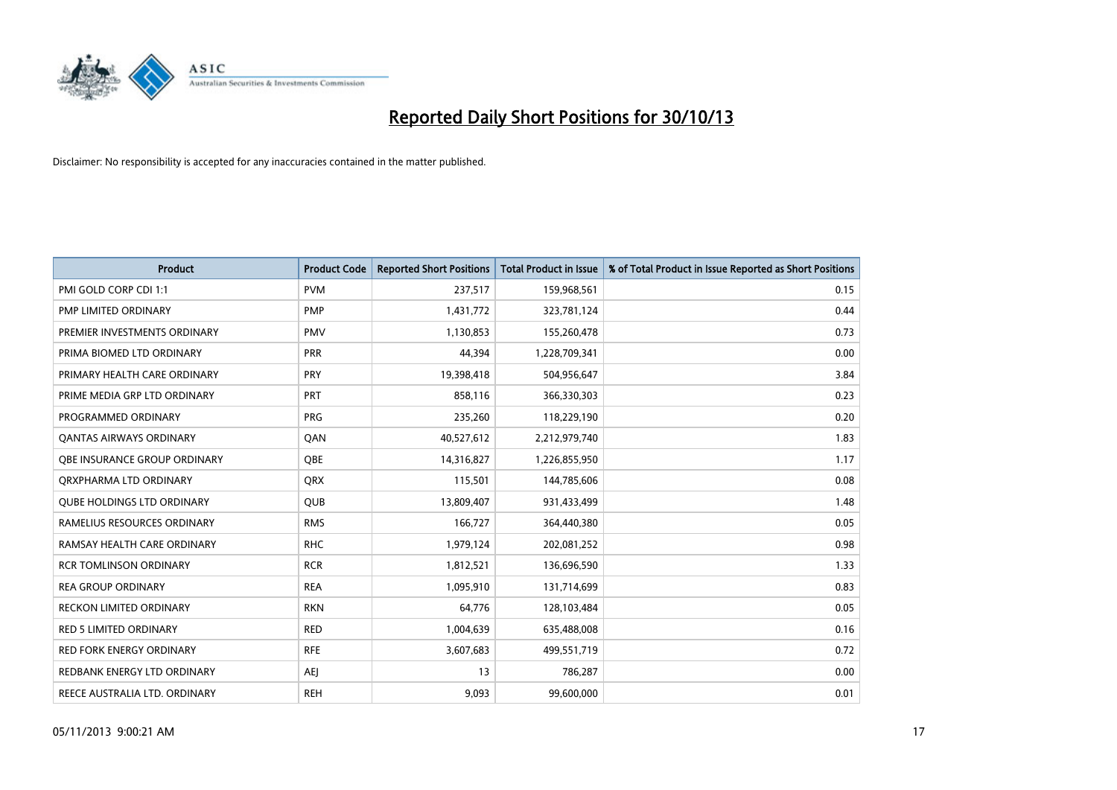

| <b>Product</b>                    | <b>Product Code</b> | <b>Reported Short Positions</b> | <b>Total Product in Issue</b> | % of Total Product in Issue Reported as Short Positions |
|-----------------------------------|---------------------|---------------------------------|-------------------------------|---------------------------------------------------------|
| PMI GOLD CORP CDI 1:1             | <b>PVM</b>          | 237,517                         | 159,968,561                   | 0.15                                                    |
| <b>PMP LIMITED ORDINARY</b>       | <b>PMP</b>          | 1,431,772                       | 323,781,124                   | 0.44                                                    |
| PREMIER INVESTMENTS ORDINARY      | <b>PMV</b>          | 1,130,853                       | 155,260,478                   | 0.73                                                    |
| PRIMA BIOMED LTD ORDINARY         | <b>PRR</b>          | 44,394                          | 1,228,709,341                 | 0.00                                                    |
| PRIMARY HEALTH CARE ORDINARY      | <b>PRY</b>          | 19,398,418                      | 504,956,647                   | 3.84                                                    |
| PRIME MEDIA GRP LTD ORDINARY      | <b>PRT</b>          | 858,116                         | 366,330,303                   | 0.23                                                    |
| PROGRAMMED ORDINARY               | <b>PRG</b>          | 235,260                         | 118,229,190                   | 0.20                                                    |
| <b>QANTAS AIRWAYS ORDINARY</b>    | QAN                 | 40,527,612                      | 2,212,979,740                 | 1.83                                                    |
| OBE INSURANCE GROUP ORDINARY      | OBE                 | 14,316,827                      | 1,226,855,950                 | 1.17                                                    |
| ORXPHARMA LTD ORDINARY            | <b>QRX</b>          | 115,501                         | 144,785,606                   | 0.08                                                    |
| <b>QUBE HOLDINGS LTD ORDINARY</b> | QUB                 | 13,809,407                      | 931,433,499                   | 1.48                                                    |
| RAMELIUS RESOURCES ORDINARY       | <b>RMS</b>          | 166,727                         | 364,440,380                   | 0.05                                                    |
| RAMSAY HEALTH CARE ORDINARY       | <b>RHC</b>          | 1,979,124                       | 202,081,252                   | 0.98                                                    |
| <b>RCR TOMLINSON ORDINARY</b>     | <b>RCR</b>          | 1,812,521                       | 136,696,590                   | 1.33                                                    |
| <b>REA GROUP ORDINARY</b>         | <b>REA</b>          | 1,095,910                       | 131,714,699                   | 0.83                                                    |
| <b>RECKON LIMITED ORDINARY</b>    | <b>RKN</b>          | 64,776                          | 128,103,484                   | 0.05                                                    |
| <b>RED 5 LIMITED ORDINARY</b>     | RED                 | 1,004,639                       | 635,488,008                   | 0.16                                                    |
| <b>RED FORK ENERGY ORDINARY</b>   | <b>RFE</b>          | 3,607,683                       | 499,551,719                   | 0.72                                                    |
| REDBANK ENERGY LTD ORDINARY       | <b>AEI</b>          | 13                              | 786,287                       | 0.00                                                    |
| REECE AUSTRALIA LTD. ORDINARY     | <b>REH</b>          | 9,093                           | 99,600,000                    | 0.01                                                    |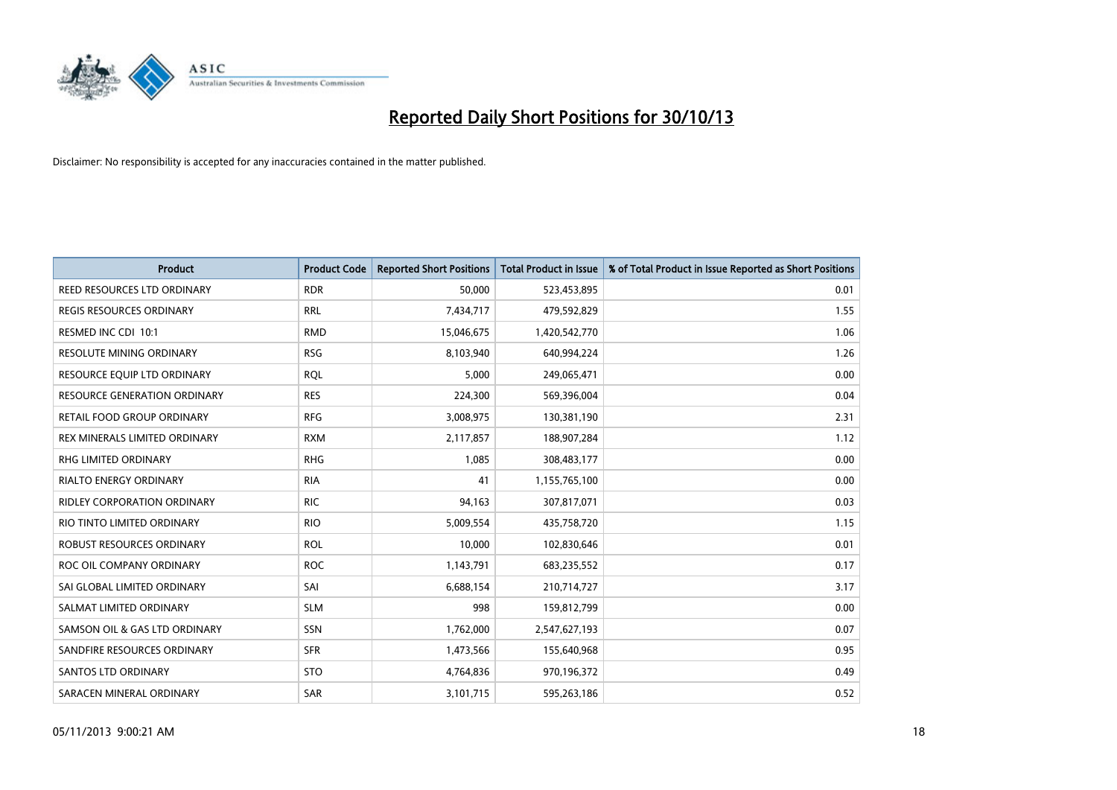

| <b>Product</b>                      | <b>Product Code</b> | <b>Reported Short Positions</b> | <b>Total Product in Issue</b> | % of Total Product in Issue Reported as Short Positions |
|-------------------------------------|---------------------|---------------------------------|-------------------------------|---------------------------------------------------------|
| REED RESOURCES LTD ORDINARY         | <b>RDR</b>          | 50,000                          | 523,453,895                   | 0.01                                                    |
| REGIS RESOURCES ORDINARY            | RRL                 | 7,434,717                       | 479,592,829                   | 1.55                                                    |
| RESMED INC CDI 10:1                 | <b>RMD</b>          | 15,046,675                      | 1,420,542,770                 | 1.06                                                    |
| RESOLUTE MINING ORDINARY            | <b>RSG</b>          | 8,103,940                       | 640,994,224                   | 1.26                                                    |
| RESOURCE EQUIP LTD ORDINARY         | <b>ROL</b>          | 5,000                           | 249,065,471                   | 0.00                                                    |
| <b>RESOURCE GENERATION ORDINARY</b> | <b>RES</b>          | 224,300                         | 569,396,004                   | 0.04                                                    |
| RETAIL FOOD GROUP ORDINARY          | <b>RFG</b>          | 3,008,975                       | 130,381,190                   | 2.31                                                    |
| REX MINERALS LIMITED ORDINARY       | <b>RXM</b>          | 2,117,857                       | 188,907,284                   | 1.12                                                    |
| <b>RHG LIMITED ORDINARY</b>         | <b>RHG</b>          | 1,085                           | 308,483,177                   | 0.00                                                    |
| <b>RIALTO ENERGY ORDINARY</b>       | <b>RIA</b>          | 41                              | 1,155,765,100                 | 0.00                                                    |
| RIDLEY CORPORATION ORDINARY         | <b>RIC</b>          | 94,163                          | 307,817,071                   | 0.03                                                    |
| RIO TINTO LIMITED ORDINARY          | <b>RIO</b>          | 5,009,554                       | 435,758,720                   | 1.15                                                    |
| ROBUST RESOURCES ORDINARY           | <b>ROL</b>          | 10,000                          | 102,830,646                   | 0.01                                                    |
| ROC OIL COMPANY ORDINARY            | <b>ROC</b>          | 1,143,791                       | 683,235,552                   | 0.17                                                    |
| SAI GLOBAL LIMITED ORDINARY         | SAI                 | 6,688,154                       | 210,714,727                   | 3.17                                                    |
| SALMAT LIMITED ORDINARY             | <b>SLM</b>          | 998                             | 159,812,799                   | 0.00                                                    |
| SAMSON OIL & GAS LTD ORDINARY       | SSN                 | 1,762,000                       | 2,547,627,193                 | 0.07                                                    |
| SANDFIRE RESOURCES ORDINARY         | <b>SFR</b>          | 1,473,566                       | 155,640,968                   | 0.95                                                    |
| SANTOS LTD ORDINARY                 | <b>STO</b>          | 4,764,836                       | 970,196,372                   | 0.49                                                    |
| SARACEN MINERAL ORDINARY            | <b>SAR</b>          | 3,101,715                       | 595,263,186                   | 0.52                                                    |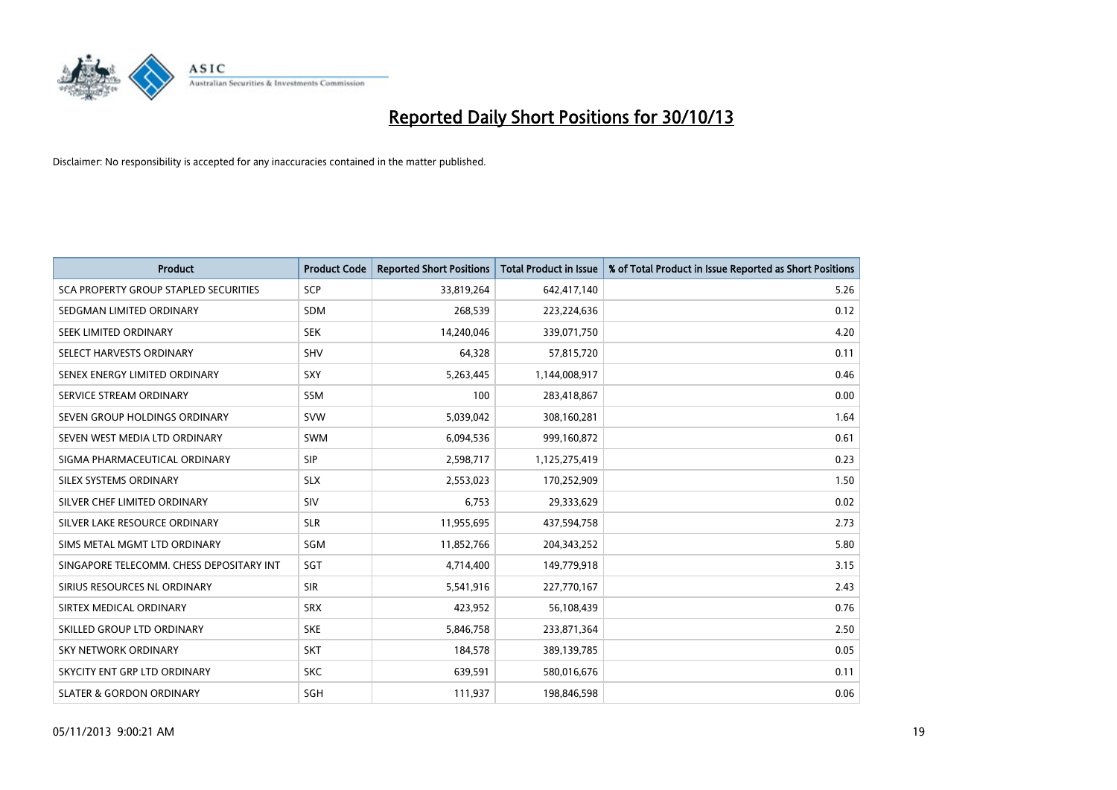

| <b>Product</b>                               | <b>Product Code</b> | <b>Reported Short Positions</b> | <b>Total Product in Issue</b> | % of Total Product in Issue Reported as Short Positions |
|----------------------------------------------|---------------------|---------------------------------|-------------------------------|---------------------------------------------------------|
| <b>SCA PROPERTY GROUP STAPLED SECURITIES</b> | <b>SCP</b>          | 33,819,264                      | 642,417,140                   | 5.26                                                    |
| SEDGMAN LIMITED ORDINARY                     | SDM                 | 268,539                         | 223,224,636                   | 0.12                                                    |
| <b>SEEK LIMITED ORDINARY</b>                 | <b>SEK</b>          | 14,240,046                      | 339,071,750                   | 4.20                                                    |
| SELECT HARVESTS ORDINARY                     | SHV                 | 64,328                          | 57,815,720                    | 0.11                                                    |
| SENEX ENERGY LIMITED ORDINARY                | <b>SXY</b>          | 5,263,445                       | 1,144,008,917                 | 0.46                                                    |
| SERVICE STREAM ORDINARY                      | <b>SSM</b>          | 100                             | 283,418,867                   | 0.00                                                    |
| SEVEN GROUP HOLDINGS ORDINARY                | <b>SVW</b>          | 5,039,042                       | 308,160,281                   | 1.64                                                    |
| SEVEN WEST MEDIA LTD ORDINARY                | SWM                 | 6,094,536                       | 999,160,872                   | 0.61                                                    |
| SIGMA PHARMACEUTICAL ORDINARY                | <b>SIP</b>          | 2,598,717                       | 1,125,275,419                 | 0.23                                                    |
| SILEX SYSTEMS ORDINARY                       | <b>SLX</b>          | 2,553,023                       | 170,252,909                   | 1.50                                                    |
| SILVER CHEF LIMITED ORDINARY                 | SIV                 | 6,753                           | 29,333,629                    | 0.02                                                    |
| SILVER LAKE RESOURCE ORDINARY                | <b>SLR</b>          | 11,955,695                      | 437,594,758                   | 2.73                                                    |
| SIMS METAL MGMT LTD ORDINARY                 | SGM                 | 11,852,766                      | 204, 343, 252                 | 5.80                                                    |
| SINGAPORE TELECOMM. CHESS DEPOSITARY INT     | SGT                 | 4,714,400                       | 149,779,918                   | 3.15                                                    |
| SIRIUS RESOURCES NL ORDINARY                 | <b>SIR</b>          | 5,541,916                       | 227,770,167                   | 2.43                                                    |
| SIRTEX MEDICAL ORDINARY                      | <b>SRX</b>          | 423,952                         | 56,108,439                    | 0.76                                                    |
| SKILLED GROUP LTD ORDINARY                   | <b>SKE</b>          | 5,846,758                       | 233,871,364                   | 2.50                                                    |
| <b>SKY NETWORK ORDINARY</b>                  | <b>SKT</b>          | 184,578                         | 389,139,785                   | 0.05                                                    |
| SKYCITY ENT GRP LTD ORDINARY                 | <b>SKC</b>          | 639,591                         | 580,016,676                   | 0.11                                                    |
| <b>SLATER &amp; GORDON ORDINARY</b>          | SGH                 | 111,937                         | 198,846,598                   | 0.06                                                    |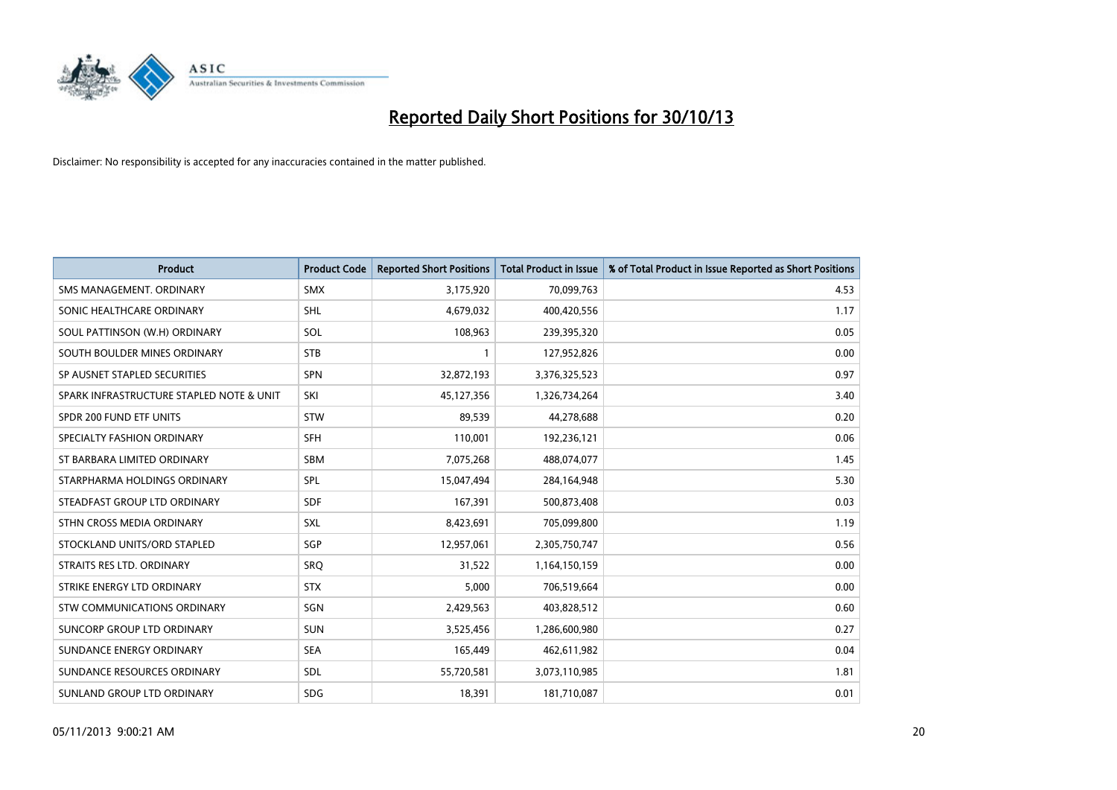

| <b>Product</b>                           | <b>Product Code</b> | <b>Reported Short Positions</b> | <b>Total Product in Issue</b> | % of Total Product in Issue Reported as Short Positions |
|------------------------------------------|---------------------|---------------------------------|-------------------------------|---------------------------------------------------------|
| SMS MANAGEMENT, ORDINARY                 | <b>SMX</b>          | 3,175,920                       | 70,099,763                    | 4.53                                                    |
| SONIC HEALTHCARE ORDINARY                | <b>SHL</b>          | 4,679,032                       | 400,420,556                   | 1.17                                                    |
| SOUL PATTINSON (W.H) ORDINARY            | SOL                 | 108,963                         | 239,395,320                   | 0.05                                                    |
| SOUTH BOULDER MINES ORDINARY             | <b>STB</b>          | 1                               | 127,952,826                   | 0.00                                                    |
| SP AUSNET STAPLED SECURITIES             | SPN                 | 32,872,193                      | 3,376,325,523                 | 0.97                                                    |
| SPARK INFRASTRUCTURE STAPLED NOTE & UNIT | SKI                 | 45,127,356                      | 1,326,734,264                 | 3.40                                                    |
| SPDR 200 FUND ETF UNITS                  | <b>STW</b>          | 89,539                          | 44,278,688                    | 0.20                                                    |
| SPECIALTY FASHION ORDINARY               | <b>SFH</b>          | 110,001                         | 192,236,121                   | 0.06                                                    |
| ST BARBARA LIMITED ORDINARY              | SBM                 | 7,075,268                       | 488,074,077                   | 1.45                                                    |
| STARPHARMA HOLDINGS ORDINARY             | SPL                 | 15,047,494                      | 284,164,948                   | 5.30                                                    |
| STEADFAST GROUP LTD ORDINARY             | <b>SDF</b>          | 167,391                         | 500,873,408                   | 0.03                                                    |
| STHN CROSS MEDIA ORDINARY                | <b>SXL</b>          | 8,423,691                       | 705,099,800                   | 1.19                                                    |
| STOCKLAND UNITS/ORD STAPLED              | SGP                 | 12,957,061                      | 2,305,750,747                 | 0.56                                                    |
| STRAITS RES LTD. ORDINARY                | SRO                 | 31,522                          | 1,164,150,159                 | 0.00                                                    |
| STRIKE ENERGY LTD ORDINARY               | <b>STX</b>          | 5,000                           | 706,519,664                   | 0.00                                                    |
| STW COMMUNICATIONS ORDINARY              | SGN                 | 2,429,563                       | 403,828,512                   | 0.60                                                    |
| SUNCORP GROUP LTD ORDINARY               | <b>SUN</b>          | 3,525,456                       | 1,286,600,980                 | 0.27                                                    |
| SUNDANCE ENERGY ORDINARY                 | <b>SEA</b>          | 165,449                         | 462,611,982                   | 0.04                                                    |
| SUNDANCE RESOURCES ORDINARY              | SDL                 | 55,720,581                      | 3,073,110,985                 | 1.81                                                    |
| SUNLAND GROUP LTD ORDINARY               | <b>SDG</b>          | 18,391                          | 181,710,087                   | 0.01                                                    |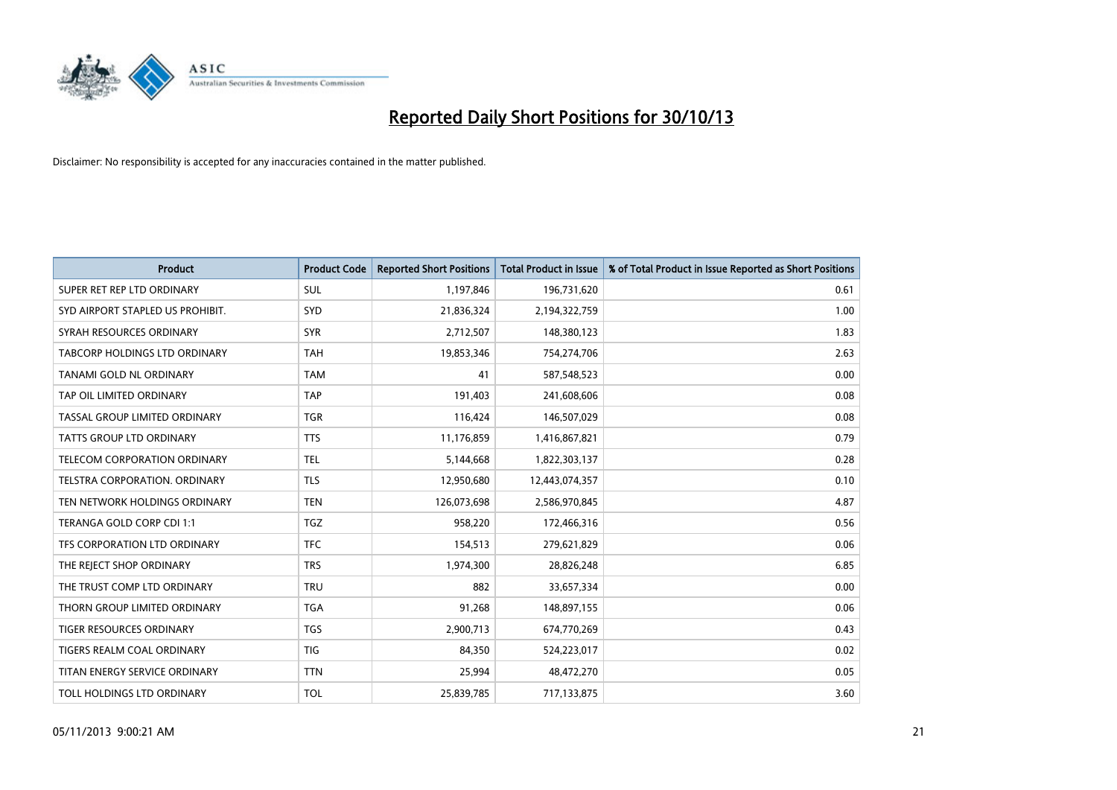

| <b>Product</b>                   | <b>Product Code</b> | <b>Reported Short Positions</b> | <b>Total Product in Issue</b> | % of Total Product in Issue Reported as Short Positions |
|----------------------------------|---------------------|---------------------------------|-------------------------------|---------------------------------------------------------|
| SUPER RET REP LTD ORDINARY       | <b>SUL</b>          | 1,197,846                       | 196,731,620                   | 0.61                                                    |
| SYD AIRPORT STAPLED US PROHIBIT. | <b>SYD</b>          | 21,836,324                      | 2,194,322,759                 | 1.00                                                    |
| SYRAH RESOURCES ORDINARY         | <b>SYR</b>          | 2,712,507                       | 148,380,123                   | 1.83                                                    |
| TABCORP HOLDINGS LTD ORDINARY    | <b>TAH</b>          | 19,853,346                      | 754,274,706                   | 2.63                                                    |
| TANAMI GOLD NL ORDINARY          | <b>TAM</b>          | 41                              | 587,548,523                   | 0.00                                                    |
| TAP OIL LIMITED ORDINARY         | <b>TAP</b>          | 191,403                         | 241,608,606                   | 0.08                                                    |
| TASSAL GROUP LIMITED ORDINARY    | TGR                 | 116,424                         | 146,507,029                   | 0.08                                                    |
| TATTS GROUP LTD ORDINARY         | <b>TTS</b>          | 11,176,859                      | 1,416,867,821                 | 0.79                                                    |
| TELECOM CORPORATION ORDINARY     | <b>TEL</b>          | 5,144,668                       | 1,822,303,137                 | 0.28                                                    |
| TELSTRA CORPORATION, ORDINARY    | <b>TLS</b>          | 12,950,680                      | 12,443,074,357                | 0.10                                                    |
| TEN NETWORK HOLDINGS ORDINARY    | <b>TEN</b>          | 126,073,698                     | 2,586,970,845                 | 4.87                                                    |
| TERANGA GOLD CORP CDI 1:1        | <b>TGZ</b>          | 958,220                         | 172,466,316                   | 0.56                                                    |
| TFS CORPORATION LTD ORDINARY     | <b>TFC</b>          | 154,513                         | 279,621,829                   | 0.06                                                    |
| THE REJECT SHOP ORDINARY         | <b>TRS</b>          | 1,974,300                       | 28,826,248                    | 6.85                                                    |
| THE TRUST COMP LTD ORDINARY      | <b>TRU</b>          | 882                             | 33,657,334                    | 0.00                                                    |
| THORN GROUP LIMITED ORDINARY     | <b>TGA</b>          | 91,268                          | 148,897,155                   | 0.06                                                    |
| TIGER RESOURCES ORDINARY         | TGS                 | 2,900,713                       | 674,770,269                   | 0.43                                                    |
| TIGERS REALM COAL ORDINARY       | <b>TIG</b>          | 84,350                          | 524,223,017                   | 0.02                                                    |
| TITAN ENERGY SERVICE ORDINARY    | <b>TTN</b>          | 25,994                          | 48,472,270                    | 0.05                                                    |
| TOLL HOLDINGS LTD ORDINARY       | <b>TOL</b>          | 25,839,785                      | 717,133,875                   | 3.60                                                    |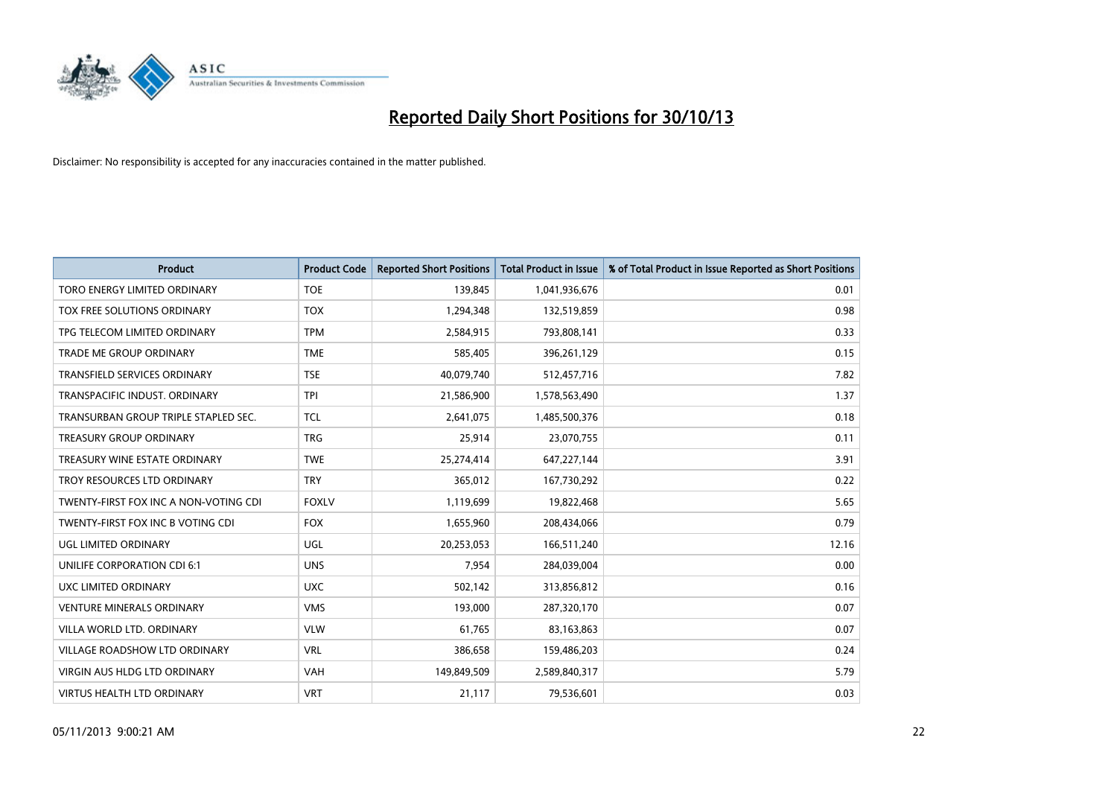

| <b>Product</b>                        | <b>Product Code</b> | <b>Reported Short Positions</b> | <b>Total Product in Issue</b> | % of Total Product in Issue Reported as Short Positions |
|---------------------------------------|---------------------|---------------------------------|-------------------------------|---------------------------------------------------------|
| <b>TORO ENERGY LIMITED ORDINARY</b>   | <b>TOE</b>          | 139,845                         | 1,041,936,676                 | 0.01                                                    |
| TOX FREE SOLUTIONS ORDINARY           | <b>TOX</b>          | 1,294,348                       | 132,519,859                   | 0.98                                                    |
| TPG TELECOM LIMITED ORDINARY          | <b>TPM</b>          | 2,584,915                       | 793,808,141                   | 0.33                                                    |
| <b>TRADE ME GROUP ORDINARY</b>        | <b>TME</b>          | 585,405                         | 396,261,129                   | 0.15                                                    |
| TRANSFIELD SERVICES ORDINARY          | <b>TSE</b>          | 40,079,740                      | 512,457,716                   | 7.82                                                    |
| TRANSPACIFIC INDUST, ORDINARY         | <b>TPI</b>          | 21,586,900                      | 1,578,563,490                 | 1.37                                                    |
| TRANSURBAN GROUP TRIPLE STAPLED SEC.  | <b>TCL</b>          | 2,641,075                       | 1,485,500,376                 | 0.18                                                    |
| TREASURY GROUP ORDINARY               | <b>TRG</b>          | 25,914                          | 23,070,755                    | 0.11                                                    |
| TREASURY WINE ESTATE ORDINARY         | <b>TWE</b>          | 25,274,414                      | 647,227,144                   | 3.91                                                    |
| TROY RESOURCES LTD ORDINARY           | <b>TRY</b>          | 365,012                         | 167,730,292                   | 0.22                                                    |
| TWENTY-FIRST FOX INC A NON-VOTING CDI | <b>FOXLV</b>        | 1,119,699                       | 19,822,468                    | 5.65                                                    |
| TWENTY-FIRST FOX INC B VOTING CDI     | <b>FOX</b>          | 1,655,960                       | 208,434,066                   | 0.79                                                    |
| <b>UGL LIMITED ORDINARY</b>           | UGL                 | 20,253,053                      | 166,511,240                   | 12.16                                                   |
| UNILIFE CORPORATION CDI 6:1           | <b>UNS</b>          | 7,954                           | 284,039,004                   | 0.00                                                    |
| UXC LIMITED ORDINARY                  | <b>UXC</b>          | 502,142                         | 313,856,812                   | 0.16                                                    |
| <b>VENTURE MINERALS ORDINARY</b>      | <b>VMS</b>          | 193,000                         | 287,320,170                   | 0.07                                                    |
| VILLA WORLD LTD. ORDINARY             | <b>VLW</b>          | 61,765                          | 83,163,863                    | 0.07                                                    |
| VILLAGE ROADSHOW LTD ORDINARY         | <b>VRL</b>          | 386,658                         | 159,486,203                   | 0.24                                                    |
| VIRGIN AUS HLDG LTD ORDINARY          | <b>VAH</b>          | 149,849,509                     | 2,589,840,317                 | 5.79                                                    |
| <b>VIRTUS HEALTH LTD ORDINARY</b>     | <b>VRT</b>          | 21,117                          | 79,536,601                    | 0.03                                                    |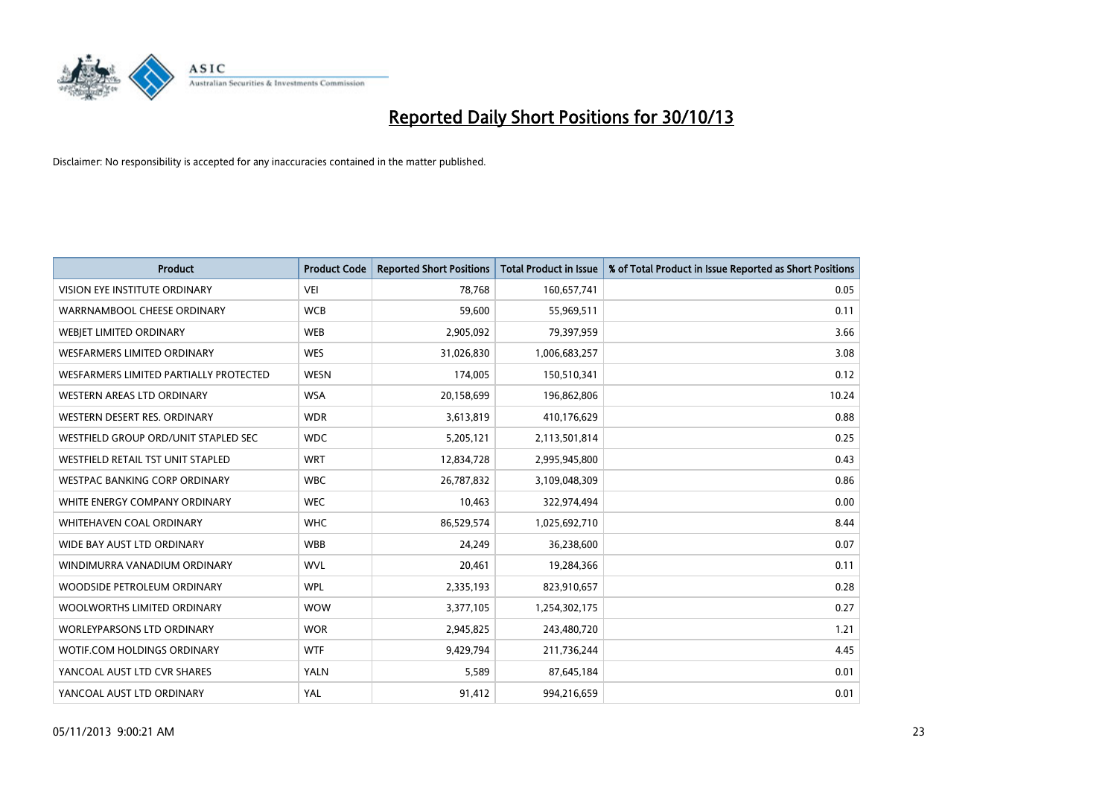

| <b>Product</b>                         | <b>Product Code</b> | <b>Reported Short Positions</b> | <b>Total Product in Issue</b> | % of Total Product in Issue Reported as Short Positions |
|----------------------------------------|---------------------|---------------------------------|-------------------------------|---------------------------------------------------------|
| VISION EYE INSTITUTE ORDINARY          | <b>VEI</b>          | 78,768                          | 160,657,741                   | 0.05                                                    |
| WARRNAMBOOL CHEESE ORDINARY            | <b>WCB</b>          | 59,600                          | 55,969,511                    | 0.11                                                    |
| WEBIET LIMITED ORDINARY                | <b>WEB</b>          | 2,905,092                       | 79,397,959                    | 3.66                                                    |
| <b>WESFARMERS LIMITED ORDINARY</b>     | <b>WES</b>          | 31,026,830                      | 1,006,683,257                 | 3.08                                                    |
| WESFARMERS LIMITED PARTIALLY PROTECTED | <b>WESN</b>         | 174,005                         | 150,510,341                   | 0.12                                                    |
| WESTERN AREAS LTD ORDINARY             | <b>WSA</b>          | 20,158,699                      | 196,862,806                   | 10.24                                                   |
| WESTERN DESERT RES. ORDINARY           | <b>WDR</b>          | 3,613,819                       | 410,176,629                   | 0.88                                                    |
| WESTFIELD GROUP ORD/UNIT STAPLED SEC   | <b>WDC</b>          | 5,205,121                       | 2,113,501,814                 | 0.25                                                    |
| WESTFIELD RETAIL TST UNIT STAPLED      | <b>WRT</b>          | 12,834,728                      | 2,995,945,800                 | 0.43                                                    |
| <b>WESTPAC BANKING CORP ORDINARY</b>   | <b>WBC</b>          | 26,787,832                      | 3,109,048,309                 | 0.86                                                    |
| WHITE ENERGY COMPANY ORDINARY          | <b>WEC</b>          | 10,463                          | 322,974,494                   | 0.00                                                    |
| WHITEHAVEN COAL ORDINARY               | <b>WHC</b>          | 86,529,574                      | 1,025,692,710                 | 8.44                                                    |
| WIDE BAY AUST LTD ORDINARY             | <b>WBB</b>          | 24,249                          | 36,238,600                    | 0.07                                                    |
| WINDIMURRA VANADIUM ORDINARY           | <b>WVL</b>          | 20,461                          | 19,284,366                    | 0.11                                                    |
| WOODSIDE PETROLEUM ORDINARY            | <b>WPL</b>          | 2,335,193                       | 823,910,657                   | 0.28                                                    |
| WOOLWORTHS LIMITED ORDINARY            | <b>WOW</b>          | 3,377,105                       | 1,254,302,175                 | 0.27                                                    |
| <b>WORLEYPARSONS LTD ORDINARY</b>      | <b>WOR</b>          | 2,945,825                       | 243,480,720                   | 1.21                                                    |
| WOTIF.COM HOLDINGS ORDINARY            | <b>WTF</b>          | 9,429,794                       | 211,736,244                   | 4.45                                                    |
| YANCOAL AUST LTD CVR SHARES            | <b>YALN</b>         | 5,589                           | 87,645,184                    | 0.01                                                    |
| YANCOAL AUST LTD ORDINARY              | YAL                 | 91,412                          | 994,216,659                   | 0.01                                                    |